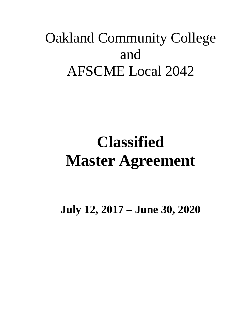# Oakland Community College and AFSCME Local 2042

# **Classified Master Agreement**

**July 12, 2017 – June 30, 2020**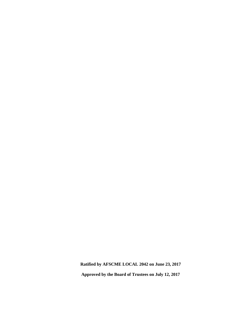**Ratified by AFSCME LOCAL 2042 on June 23, 2017**

**Approved by the Board of Trustees on July 12, 2017**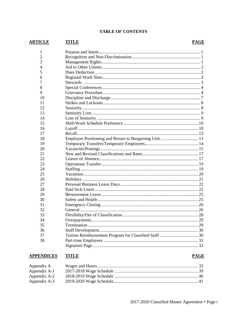#### **TABLE OF CONTENTS**

#### **TITLE ARTICLE**

#### **PAGE**

| 1              |  |
|----------------|--|
| $\overline{2}$ |  |
| 3              |  |
| $\overline{4}$ |  |
| 5              |  |
| 6              |  |
| 7              |  |
| 8              |  |
| 9              |  |
| 10             |  |
| 11             |  |
| 12             |  |
| 13             |  |
| 14             |  |
| 15             |  |
| 16             |  |
| 17             |  |
| 18             |  |
| 19             |  |
| 20             |  |
| 21             |  |
| 22             |  |
| 23             |  |
| 24             |  |
| 25             |  |
| 26             |  |
| 27             |  |
| 28             |  |
| 29             |  |
| 30             |  |
| 31             |  |
| 32             |  |
| 33             |  |
| 34             |  |
| 35             |  |
| 36             |  |
| 37             |  |
| 38             |  |
|                |  |
|                |  |

#### **APPENDICES TITLE**

#### Appendix A Appendix A-1 Appendix A-2 Appendix A-3

**PAGE**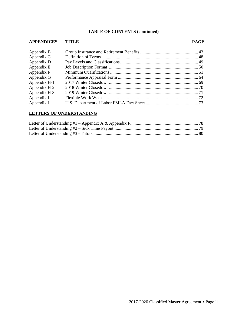# **TABLE OF CONTENTS (continued)**

#### **APPENDICES TITLE PAGE**

| Appendix B   |  |
|--------------|--|
| Appendix C   |  |
| Appendix D   |  |
| Appendix E   |  |
| Appendix F   |  |
| Appendix G   |  |
| Appendix H-1 |  |
| Appendix H-2 |  |
| Appendix H-3 |  |
| Appendix I   |  |
| Appendix J   |  |

## **LETTERS OF UNDERSTANDING**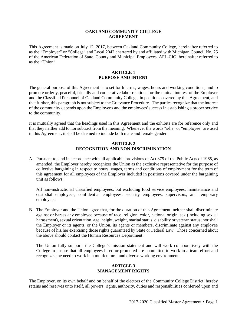#### **OAKLAND COMMUNITY COLLEGE AGREEMENT**

This Agreement is made on July 12, 2017, between Oakland Community College, hereinafter referred to as the "Employer" or "College" and Local 2042 chartered by and affiliated with Michigan Council No. 25 of the American Federation of State, County and Municipal Employees, AFL-CIO, hereinafter referred to as the "Union".

#### **ARTICLE 1 PURPOSE AND INTENT**

The general purpose of this Agreement is to set forth terms, wages, hours and working conditions, and to promote orderly, peaceful, friendly and cooperative labor relations for the mutual interest of the Employer and the Classified Personnel of Oakland Community College, in positions covered by this Agreement, and that further, this paragraph is not subject to the Grievance Procedure. The parties recognize that the interest of the community depends upon the Employer's and the employees' success in establishing a proper service to the community.

It is mutually agreed that the headings used in this Agreement and the exhibits are for reference only and that they neither add to nor subtract from the meaning. Whenever the words "s/he" or "employee" are used in this Agreement, it shall be deemed to include both male and female gender.

#### **ARTICLE 2 RECOGNITION AND NON-DISCRIMINATION**

A. Pursuant to, and in accordance with all applicable provisions of Act 379 of the Public Acts of 1965, as amended, the Employer hereby recognizes the Union as the exclusive representative for the purpose of collective bargaining in respect to hours, wages, terms and conditions of employment for the term of this agreement for all employees of the Employer included in positions covered under the bargaining unit as follows:

All non-instructional classified employees, but excluding food service employees, maintenance and custodial employees, confidential employees, security employees, supervisors, and temporary employees.

B. The Employer and the Union agree that, for the duration of this Agreement, neither shall discriminate against or harass any employee because of race, religion, color, national origin, sex (including sexual harassment), sexual orientation, age, height, weight, marital status, disability or veteran status; nor shall the Employer or its agents, or the Union, its agents or members, discriminate against any employee because of his/her exercising those rights guaranteed by State or Federal Law. Those concerned about the above should contact the Human Resources Department.

The Union fully supports the College's mission statement and will work collaboratively with the College to ensure that all employees hired or promoted are committed to work in a team effort and recognizes the need to work in a multicultural and diverse working environment.

#### **ARTICLE 3 MANAGEMENT RIGHTS**

The Employer, on its own behalf and on behalf of the electors of the Community College District, hereby retains and reserves unto itself, all powers, rights, authority, duties and responsibilities conferred upon and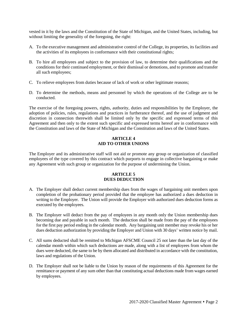vested in it by the laws and the Constitution of the State of Michigan, and the United States, including, but without limiting the generality of the foregoing, the right:

- A. To the executive management and administrative control of the College, its properties, its facilities and the activities of its employees in conformance with their constitutional rights;
- B. To hire all employees and subject to the provision of law, to determine their qualifications and the conditions for their continued employment, or their dismissal or demotions, and to promote and transfer all such employees;
- C. To relieve employees from duties because of lack of work or other legitimate reasons;
- D. To determine the methods, means and personnel by which the operations of the College are to be conducted.

The exercise of the foregoing powers, rights, authority, duties and responsibilities by the Employer, the adoption of policies, rules, regulations and practices in furtherance thereof, and the use of judgment and discretion in connection therewith shall be limited only by the specific and expressed terms of this Agreement and then only to the extent such specific and expressed terms hereof are in conformance with the Constitution and laws of the State of Michigan and the Constitution and laws of the United States.

#### **ARTICLE 4 AID TO OTHER UNIONS**

The Employer and its administrative staff will not aid or promote any group or organization of classified employees of the type covered by this contract which purports to engage in collective bargaining or make any Agreement with such group or organization for the purpose of undermining the Union.

#### **ARTICLE 5 DUES DEDUCTION**

- A. The Employer shall deduct current membership dues from the wages of bargaining unit members upon completion of the probationary period provided that the employee has authorized a dues deduction in writing to the Employer. The Union will provide the Employer with authorized dues deduction forms as executed by the employees.
- B. The Employer will deduct from the pay of employees in any month only the Union membership dues becoming due and payable in such month. The deduction shall be made from the pay of the employees for the first pay period ending in the calendar month. Any bargaining unit member may revoke his or her dues deduction authorization by providing the Employer and Union with 30 days' written notice by mail.
- C. All sums deducted shall be remitted to Michigan AFSCME Council 25 not later than the last day of the calendar month within which such deductions are made, along with a list of employees from whom the dues were deducted, the same to be by them allocated and distributed in accordance with the constitution, laws and regulations of the Union.
- D. The Employer shall not be liable to the Union by reason of the requirements of this Agreement for the remittance or payment of any sum other than that constituting actual deductions made from wages earned by employees.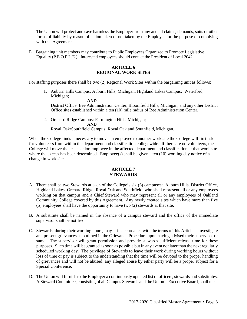The Union will protect and save harmless the Employer from any and all claims, demands, suits or other forms of liability by reason of action taken or not taken by the Employer for the purpose of complying with this Agreement.

E. Bargaining unit members may contribute to Public Employees Organized to Promote Legislative Equality (P.E.O.P.L.E.). Interested employees should contact the President of Local 2042.

#### **ARTICLE 6 REGIONAL WORK SITES**

For staffing purposes there shall be two (2) Regional Work Sites within the bargaining unit as follows:

1. Auburn Hills Campus: Auburn Hills, Michigan; Highland Lakes Campus: Waterford, Michigan; **AND**

District Office: Bee Administration Center, Bloomfield Hills, Michigan, and any other District Office sites established within a ten (10) mile radius of Bee Administration Center.

2. Orchard Ridge Campus: Farmington Hills, Michigan; **AND**

Royal Oak/Southfield Campus: Royal Oak and Southfield, Michigan.

When the College finds it necessary to move an employee to another work site the College will first ask for volunteers from within the department and classification collegewide. If there are no volunteers, the College will move the least senior employee in the affected department and classification at that work site where the excess has been determined. Employee(s) shall be given a ten (10) working day notice of a change in work site.

### **ARTICLE 7 STEWARDS**

- A. There shall be two Stewards at each of the College's six (6) campuses: Auburn Hills, District Office, Highland Lakes, Orchard Ridge, Royal Oak and Southfield, who shall represent all or any employees working on that campus and a Chief Steward who may represent all or any employees of Oakland Community College covered by this Agreement. Any newly created sites which have more than five (5) employees shall have the opportunity to have two (2) stewards at that site.
- B. A substitute shall be named in the absence of a campus steward and the office of the immediate supervisor shall be notified.
- C. Stewards, during their working hours, may -- in accordance with the terms of this Article -- investigate and present grievances as outlined in the Grievance Procedure upon having advised their supervisor of same. The supervisor will grant permission and provide stewards sufficient release time for these purposes. Such time will be granted as soon as possible but in any event not later than the next regularly scheduled working day. The privilege of Stewards to leave their work during working hours without loss of time or pay is subject to the understanding that the time will be devoted to the proper handling of grievances and will not be abused; any alleged abuse by either party will be a proper subject for a Special Conference.
- D. The Union will furnish to the Employer a continuously updated list of officers, stewards and substitutes. A Steward Committee, consisting of all Campus Stewards and the Union's Executive Board, shall meet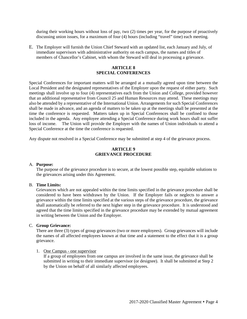during their working hours without loss of pay, two (2) times per year, for the purpose of proactively discussing union issues, for a maximum of four (4) hours (including "travel" time) each meeting.

E. The Employer will furnish the Union Chief Steward with an updated list, each January and July, of immediate supervisors with administrative authority on each campus, the names and titles of members of Chancellor's Cabinet, with whom the Steward will deal in processing a grievance.

#### **ARTICLE 8 SPECIAL CONFERENCES**

Special Conferences for important matters will be arranged at a mutually agreed upon time between the Local President and the designated representatives of the Employer upon the request of either party. Such meetings shall involve up to four (4) representatives each from the Union and College, provided however that an additional representative from Council 25 and Human Resources may attend. These meetings may also be attended by a representative of the International Union. Arrangements for such Special Conferences shall be made in advance, and an agenda of matters to be taken up at the meetings shall be presented at the time the conference is requested. Matters taken up in Special Conferences shall be confined to those included in the agenda. Any employee attending a Special Conference during work hours shall not suffer loss of income. The Union will provide the Employer with the names of Union individuals to attend a Special Conference at the time the conference is requested.

Any dispute not resolved in a Special Conference may be submitted at step 4 of the grievance process.

#### **ARTICLE 9 GRIEVANCE PROCEDURE**

#### A. **Purpose:**

The purpose of the grievance procedure is to secure, at the lowest possible step, equitable solutions to the grievances arising under this Agreement.

#### B. **Time Limits:**

Grievances which are not appealed within the time limits specified in the grievance procedure shall be considered to have been withdrawn by the Union. If the Employer fails or neglects to answer a grievance within the time limits specified at the various steps of the grievance procedure, the grievance shall automatically be referred to the next higher step in the grievance procedure. It is understood and agreed that the time limits specified in the grievance procedure may be extended by mutual agreement in writing between the Union and the Employer.

#### C. **Group Grievance:**

There are three (3) types of group grievances (two or more employees). Group grievances will include the names of all affected employees known at that time and a statement to the effect that it is a group grievance.

#### 1. One Campus - one supervisor

If a group of employees from one campus are involved in the same issue, the grievance shall be submitted in writing to their immediate supervisor (or designee). It shall be submitted at Step 2 by the Union on behalf of all similarly affected employees.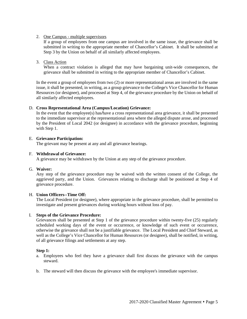#### 2. One Campus - multiple supervisors

If a group of employees from one campus are involved in the same issue, the grievance shall be submitted in writing to the appropriate member of Chancellor's Cabinet. It shall be submitted at Step 3 by the Union on behalf of all similarly affected employees.

## 3. Class Action

When a contract violation is alleged that may have bargaining unit-wide consequences, the grievance shall be submitted in writing to the appropriate member of Chancellor's Cabinet.

In the event a group of employees from two (2) or more representational areas are involved in the same issue, it shall be presented, in writing, as a group grievance to the College's Vice Chancellor for Human Resources (or designee), and processed at Step 4, of the grievance procedure by the Union on behalf of all similarly affected employees.

#### D. **Cross Representational Area (Campus/Location) Grievance:**

In the event that the employee(s) has*/*have a cross representational area grievance, it shall be presented to the immediate supervisor at the representational area where the alleged dispute arose, and processed by the President of Local 2042 (or designee) in accordance with the grievance procedure, beginning with Step 1.

#### E. **Grievance Participation:**

The grievant may be present at any and all grievance hearings.

#### F. **Withdrawal of Grievance:**

A grievance may be withdrawn by the Union at any step of the grievance procedure.

#### G. **Waiver:**

Any step of the grievance procedure may be waived with the written consent of the College, the aggrieved party, and the Union. Grievances relating to discharge shall be positioned at Step 4 of grievance procedure.

#### H. **Union Officers--Time Off:**

The Local President (or designee), where appropriate in the grievance procedure, shall be permitted to investigate and present grievances during working hours without loss of pay.

#### I. **Steps of the Grievance Procedure:**

Grievances shall be presented at Step 1 of the grievance procedure within twenty-five (25) regularly scheduled working days of the event or occurrence, or knowledge of such event or occurrence, otherwise the grievance shall not be a justifiable grievance. The Local President and Chief Steward, as well as the College's Vice Chancellor for Human Resources (or designee), shall be notified, in writing, of all grievance filings and settlements at any step.

#### **Step 1:**

- a. Employees who feel they have a grievance shall first discuss the grievance with the campus steward.
- b. The steward will then discuss the grievance with the employee's immediate supervisor.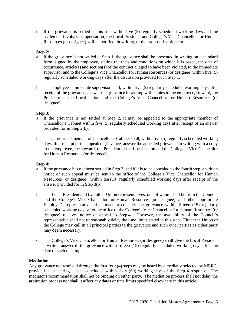c. If the grievance is settled at this step within five (5) regularly scheduled working days and the settlement involves compensation, the Local President and College's Vice Chancellor for Human Resources (or designee) will be notified, in writing, of the proposed settlement.

#### **Step 2:**

- a. If the grievance is not settled at Step 1, the grievance shall be presented in writing on a standard form, signed by the employee, stating the facts and conditions on which it is based, the date of occurrence, article(s) and section(s) of the contract alleged to have been violated, to the immediate supervisor and to the College's Vice Chancellor for Human Resources (or designee) within five (5) regularly scheduled working days after the discussion provided for in Step 1.
- b. The employee's immediate supervisor shall, within five (5) regularly scheduled working days after receipt of the grievance, answer the grievance in writing with copies to the employee, steward, the President of the Local Union and the College's Vice Chancellor for Human Resources (or designee).

#### **Step 3:**

- a. If the grievance is not settled at Step 2, it may be appealed to the appropriate member of Chancellor's Cabinet within five (5) regularly scheduled working days after receipt of an answer provided for in Step 2(b).
- b. The appropriate member of Chancellor's Cabinet shall, within five (5) regularly scheduled working days after receipt of the appealed grievance, answer the appealed grievance in writing with a copy to the employee, the steward, the President of the Local Union and the College's Vice Chancellor for Human Resources (or designee).

#### **Step 4:**

- a. If the grievance has not been settled in Step 3, and if it is to be appealed to the fourth step, a written notice of such appeal must be sent to the office of the College's Vice Chancellor for Human Resources (or designee), within ten (10) regularly scheduled working days after receipt of the answer provided for in Step 3(b).
- b. The Local President and two other Union representatives, one of whom shall be from the Council, and the College's Vice Chancellor for Human Resources (or designee), and other appropriate Employer's representatives shall meet to consider the grievance within fifteen (15) regularly scheduled working days after the office of the College's Vice Chancellor for Human Resources (or designee) receives notice of appeal to Step 4. However, the availability of the Council's representative shall not unreasonably delay the time limits stated in this step. Either the Union or the College may call in all principal parties to the grievance and such other parties as either party may deem necessary.
- c. The College's Vice Chancellor for Human Resources (or designee) shall give the Local President a written answer to the grievance within fifteen (15) regularly scheduled working days after the date of such meeting.

#### **Mediation**

Any grievance not resolved through the first four (4) steps may be heard by a mediator selected by MERC, provided such hearing can be concluded within sixty (60) working days of the Step 4 response. The mediator's recommendation shall not be binding on either party. The mediation process shall not delay the arbitration process nor shall it affect any dates or time limits specified elsewhere in this article.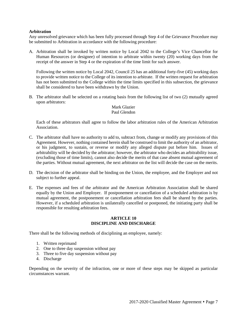#### **Arbitration**

Any unresolved grievance which has been fully processed through Step 4 of the Grievance Procedure may be submitted to Arbitration in accordance with the following procedure:

A. Arbitration shall be invoked by written notice by Local 2042 to the College's Vice Chancellor for Human Resources (or designee) of intention to arbitrate within twenty (20) working days from the receipt of the answer in Step 4 or the expiration of the time limit for such answer.

Following the written notice by Local 2042, Council 25 has an additional forty-five (45) working days to provide written notice to the College of its intention to arbitrate.If the written request for arbitration has not been submitted to the College within the time limits specified in this subsection, the grievance shall be considered to have been withdrawn by the Union.

B. The arbitrator shall be selected on a rotating basis from the following list of two (2) mutually agreed upon arbitrators:

#### Mark Glazier Paul Glendon

Each of these arbitrators shall agree to follow the labor arbitration rules of the American Arbitration Association.

- C. The arbitrator shall have no authority to add to, subtract from, change or modify any provisions of this Agreement. However, nothing contained herein shall be construed to limit the authority of an arbitrator, or his judgment, to sustain, or reverse or modify any alleged dispute put before him. Issues of arbitrability will be decided by the arbitrator; however, the arbitrator who decides an arbitrability issue, (excluding those of time limits), cannot also decide the merits of that case absent mutual agreement of the parties. Without mutual agreement, the next arbitrator on the list will decide the case on the merits.
- D. The decision of the arbitrator shall be binding on the Union, the employee, and the Employer and not subject to further appeal.
- E. The expenses and fees of the arbitrator and the American Arbitration Association shall be shared equally by the Union and Employer. If postponement or cancellation of a scheduled arbitration is by mutual agreement, the postponement or cancellation arbitration fees shall be shared by the parties. However, if a scheduled arbitration is unilaterally cancelled or postponed, the initiating party shall be responsible for resulting arbitration fees.

#### **ARTICLE 10 DISCIPLINE AND DISCHARGE**

There shall be the following methods of disciplining an employee, namely:

- 1. Written reprimand
- 2. One to three day suspension without pay
- 3. Three to five day suspension without pay
- 4. Discharge

Depending on the severity of the infraction, one or more of these steps may be skipped as particular circumstances warrant.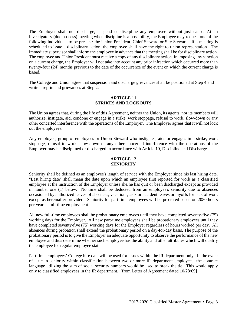The Employer shall not discharge, suspend or discipline any employee without just cause. At an investigatory (due process) meeting when discipline is a possibility, the Employee may request one of the following individuals to be present: the Union President, Chief Steward or Site Steward. If a meeting is scheduled to issue a disciplinary action, the employee shall have the right to union representation.The immediate supervisor shall inform the employee in advance that the meeting shall be for disciplinary action. The employee and Union President must receive a copy of any disciplinary action. In imposing any sanction on a current charge, the Employer will not take into account any prior infraction which occurred more than twenty-four (24) months previous to the date of the occurrence of the event on which the current charge is based.

The College and Union agree that suspension and discharge grievances shall be positioned at Step 4 and written reprimand grievances at Step 2.

#### **ARTICLE 11 STRIKES AND LOCKOUTS**

The Union agrees that, during the life of this Agreement, neither the Union, its agents, nor its members will authorize, instigate, aid, condone or engage in a strike, work stoppage, refusal to work, slow-down or any other concerted interference with the operations of the Employer. The Employer agrees that it will not lock out the employees.

Any employee, group of employees or Union Steward who instigates, aids or engages in a strike, work stoppage, refusal to work, slow-down or any other concerted interference with the operations of the Employer may be disciplined or discharged in accordance with Article 10, Discipline and Discharge.

#### **ARTICLE 12 SENIORITY**

Seniority shall be defined as an employee's length of service with the Employer since his last hiring date. "Last hiring date" shall mean the date upon which an employee first reported for work as a classified employee at the instruction of the Employer unless she/he has quit or been discharged except as provided in number one (1) below. No time shall be deducted from an employee's seniority due to absences occasioned by authorized leaves of absences, vacations, sick or accident leaves or layoffs for lack of work except as hereinafter provided. Seniority for part-time employees will be pro-rated based on 2080 hours per year as full-time employment.

All new full-time employees shall be probationary employees until they have completed seventy-five (75) working days for the Employer. All new part-time employees shall be probationary employees until they have completed seventy-five (75) working days for the Employer regardless of hours worked per day. All absences during probation shall extend the probationary period on a day-for-day basis. The purpose of the probationary period is to give the Employer an adequate opportunity to observe the performance of the new employee and thus determine whether such employee has the ability and other attributes which will qualify the employee for regular employee status.

Part-time employees' College hire date will be used for issues within the IR department only. In the event of a tie in seniority within classification between two or more IR department employees, the contract language utilizing the sum of social security numbers would be used to break the tie. This would apply only to classified employees in the IR department. [from Letter of Agreement dated 10/28/09]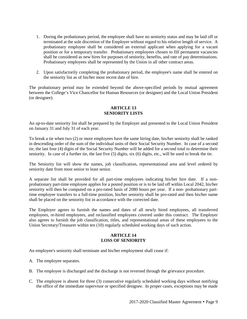- 1. During the probationary period, the employee shall have no seniority status and may be laid off or terminated at the sole discretion of the Employer without regard to his relative length of service. A probationary employee shall be considered an external applicant when applying for a vacant position or for a temporary transfer. Probationary employees chosen to fill permanent vacancies shall be considered as new hires for purposes of seniority, benefits, and rate of pay determinations. Probationary employees shall be represented by the Union in all other contract areas.
- 2. Upon satisfactorily completing the probationary period, the employee's name shall be entered on the seniority list as of his/her most recent date of hire.

The probationary period may be extended beyond the above-specified periods by mutual agreement between the College's Vice Chancellor for Human Resources (or designee) and the Local Union President (or designee).

#### **ARTICLE 13 SENIORITY LISTS**

An up-to-date seniority list shall be prepared by the Employer and presented to the Local Union President on January 31 and July 31 of each year.

To break a tie when two (2) or more employees have the same hiring date, his/her seniority shall be ranked in descending order of the sum of the individual units of their Social Security Number. In case of a second tie, the last four (4) digits of the Social Security Number will be added for a second total to determine their seniority. In case of a further tie, the last five (5) digits, six (6) digits, etc., will be used to break the tie.

The Seniority list will show the names, job classification, representational area and level ordered by seniority date from most senior to least senior.

A separate list shall be provided for all part-time employees indicating his/her hire date. If a nonprobationary part-time employee applies for a posted position or is to be laid off within Local 2042, his/her seniority will then be computed on a pro-rated basis of 2080 hours per year. If a non- probationary parttime employee transfers to a full-time position, his/her seniority shall be pro-rated and then his/her name shall be placed on the seniority list in accordance with the corrected date.

The Employer agrees to furnish the names and dates of all newly hired employees, all transferred employees, re-hired employees, and reclassified employees covered under this contract. The Employer also agrees to furnish the job classification, titles, and representational areas of these employees to the Union Secretary/Treasurer within ten (10) regularly scheduled working days of such action.

#### **ARTICLE 14 LOSS OF SENIORITY**

An employee's seniority shall terminate and his/her employment shall cease if:

- A. The employee separates.
- B. The employee is discharged and the discharge is not reversed through the grievance procedure.
- C. The employee is absent for three (3) consecutive regularly scheduled working days without notifying the office of the immediate supervisor or specified designee. In proper cases, exceptions may be made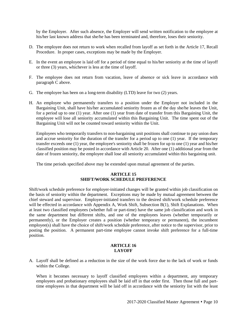by the Employer. After such absence, the Employer will send written notification to the employee at his/her last known address that she/he has been terminated and, therefore, loses their seniority.

- D. The employee does not return to work when recalled from layoff as set forth in the Article 17, Recall Procedure. In proper cases, exceptions may be made by the Employer.
- E. In the event an employee is laid off for a period of time equal to his/her seniority at the time of layoff or three (3) years, whichever is less at the time of layoff.
- F. The employee does not return from vacation, leave of absence or sick leave in accordance with paragraph C above.
- G. The employee has been on a long-term disability (LTD) leave for two (2) years.
- H. An employee who permanently transfers to a position under the Employer not included in the Bargaining Unit, shall have his/her accumulated seniority frozen as of the day she/he leaves the Unit, for a period up to one (1) year. After one (1) year from date of transfer from this Bargaining Unit, the employee will lose all seniority accumulated within this Bargaining Unit. The time spent out of the Bargaining Unit will not be counted toward seniority within the Unit.

Employees who temporarily transfers to non-bargaining unit positions shall continue to pay union dues and accrue seniority for the duration of the transfer for a period up to one (1) year. If the temporary transfer exceeds one (1) year, the employee's seniority shall be frozen for up to one (1) year and his/her classified position may be posted in accordance with Article 20. After one (1) additional year from the date of frozen seniority, the employee shall lose all seniority accumulated within this bargaining unit.

The time periods specified above may be extended upon mutual agreement of the parties.

## **ARTICLE 15 SHIFT/WORK SCHEDULE PREFERENCE**

Shift/work schedule preference for employer-initiated changes will be granted within job classification on the basis of seniority within the department. Exceptions may be made by mutual agreement between the chief steward and supervisor. Employer-initiated transfers to the desired shift/work schedule preference will be effected in accordance with Appendix A, Work Shift, Subsection B(1), Shift Explanations. When at least two classified employees (whether full or part-time) have the same job classification and work in the same department but different shifts, and one of the employees leaves (whether temporarily or permanently), or the Employer creates a position (whether temporary or permanent), the incumbent employee(s) shall have the choice of shift/work schedule preference, after notice to the supervisor, prior to posting the position. A permanent part-time employee cannot invoke shift preference for a full-time position.

#### **ARTICLE 16 LAYOFF**

A. Layoff shall be defined as a reduction in the size of the work force due to the lack of work or funds within the College.

When it becomes necessary to layoff classified employees within a department, any temporary employees and probationary employees shall be laid off in that order first. Then those full and parttime employees in that department will be laid off in accordance with the seniority list with the least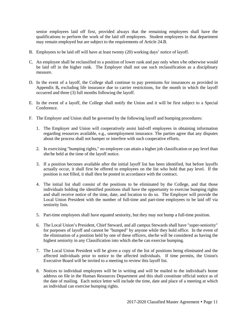senior employees laid off first, provided always that the remaining employees shall have the qualifications to perform the work of the laid off employees. Student employees in that department may remain employed but are subject to the requirements of Article 24.B.

- B. Employees to be laid off will have at least twenty (20) working days' notice of layoff.
- C. An employee shall be reclassified to a position of lower rank and pay only when s/he otherwise would be laid off in the higher rank. The Employer shall not use such reclassification as a disciplinary measure.
- D. In the event of a layoff, the College shall continue to pay premiums for insurances as provided in Appendix B*,* excluding life insurance due to carrier restrictions, for the month in which the layoff occurred and three (3) full months following the layoff.
- E. In the event of a layoff, the College shall notify the Union and it will be first subject to a Special Conference.
- F. The Employer and Union shall be governed by the following layoff and bumping procedures:
	- 1. The Employer and Union will cooperatively assist laid-off employees in obtaining information regarding resources available, e.g., unemployment insurance. The parties agree that any disputes about the process shall not hamper or interfere with such cooperative efforts.
	- 2. In exercising "bumping rights," no employee can attain a higher job classification or pay level than she/he held at the time of the layoff notice.
	- 3. If a position becomes available after the initial layoff list has been identified, but before layoffs actually occur, it shall first be offered to employees on the list who hold that pay level. If the position is not filled, it shall then be posted in accordance with the contract.
	- 4. The initial list shall consist of the positions to be eliminated by the College, and that those individuals holding the identified positions shall have the opportunity to exercise bumping rights and shall receive notice of the time, date, and location to do so. The Employer will provide the Local Union President with the number of full-time and part-time employees to be laid off via seniority lists.
	- 5. Part-time employees shall have equated seniority, but they may not bump a full-time position.
	- 6. The Local Union's President, Chief Steward, and all campus Stewards shall have "super-seniority" for purposes of layoff and cannot be "bumped" by anyone while they hold office. In the event of the elimination of a position held by one of these officers, she/he will be considered as having the highest seniority in any Classification into which she/he can exercise bumping.
	- 7. The Local Union President will be given a copy of the list of positions being eliminated and the affected individuals prior to notice to the affected individuals. If time permits, the Union's Executive Board will be invited to a meeting to review this layoff list.
	- 8. Notices to individual employees will be in writing and will be mailed to the individual's home address on file in the Human Resources Department and this shall constitute official notice as of the date of mailing. Each notice letter will include the time, date and place of a meeting at which an individual can exercise bumping rights.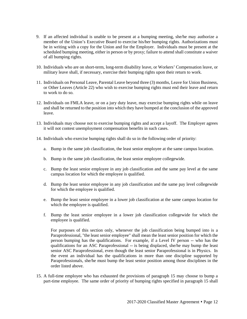- 9. If an affected individual is unable to be present at a bumping meeting, she/he may authorize a member of the Union's Executive Board to exercise his/her bumping rights. Authorizations must be in writing with a copy for the Union and for the Employer. Individuals must be present at the scheduled bumping meeting, either in person or by proxy; failure to attend shall constitute a waiver of all bumping rights.
- 10. Individuals who are on short-term, long-term disability leave, or Workers' Compensation leave, or military leave shall, if necessary, exercise their bumping rights upon their return to work.
- 11. Individuals on Personal Leave, Parental Leave beyond three (3) months, Leave for Union Business, or Other Leaves (Article 22) who wish to exercise bumping rights must end their leave and return to work to do so.
- 12. Individuals on FMLA leave, or on a jury duty leave, may exercise bumping rights while on leave and shall be returned to the position into which they have bumped at the conclusion of the approved leave.
- 13. Individuals may choose not to exercise bumping rights and accept a layoff. The Employer agrees it will not contest unemployment compensation benefits in such cases.
- 14. Individuals who exercise bumping rights shall do so in the following order of priority:
	- a. Bump in the same job classification, the least senior employee at the same campus location.
	- b. Bump in the same job classification, the least senior employee collegewide.
	- c. Bump the least senior employee in any job classification and the same pay level at the same campus location for which the employee is qualified.
	- d. Bump the least senior employee in any job classification and the same pay level collegewide for which the employee is qualified.
	- e. Bump the least senior employee in a lower job classification at the same campus location for which the employee is qualified.
	- f. Bump the least senior employee in a lower job classification collegewide for which the employee is qualified.

For purposes of this section only, whenever the job classification being bumped into is a Paraprofessional, "the least senior employee" shall mean the least senior position for which the person bumping has the qualifications. For example, if a Level IV person -- who has the qualifications for an ASC Paraprofessional -- is being displaced, she/he may bump the least senior ASC Paraprofessional, even though the least senior Paraprofessional is in Physics. In the event an individual has the qualifications in more than one discipline supported by Paraprofessionals, she/he must bump the least senior position among those disciplines in the order listed above.

15. A full-time employee who has exhausted the provisions of paragraph 15 may choose to bump a part-time employee. The same order of priority of bumping rights specified in paragraph 15 shall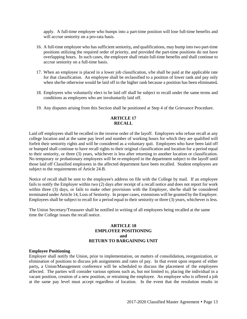apply. A full-time employee who bumps into a part-time position will lose full-time benefits and will accrue seniority on a pro-rata basis.

- 16. A full-time employee who has sufficient seniority*,* and qualifications, may bump into two part-time positions utilizing the required order of priority, and provided the part-time positions do not have overlapping hours. In such cases, the employee shall retain full-time benefits and shall continue to accrue seniority on a full-time basis.
- 17. When an employee is placed in a lower job classification, s/he shall be paid at the applicable rate for that classification. An employee shall be reclassified to a position of lower rank and pay only when she/he otherwise would be laid off in the higher rank because a position has been eliminated*.*
- 18. Employees who voluntarily elect to be laid off shall be subject to recall under the same terms and conditions as employees who are involuntarily laid off.
- 19. Any disputes arising from this Section shall be positioned at Step 4 of the Grievance Procedure.

#### **ARTICLE 17 RECALL**

Laid off employees shall be recalled in the inverse order of the layoff. Employees who refuse recall at any college location and at the same pay level and number of working hours for which they are qualified will forfeit their seniority rights and will be considered as a voluntary quit. Employees who have been laid off or bumped shall continue to have recall rights to their original classification and location for a period equal to their seniority, or three (3) years, whichever is less after returning to another location or classification. No temporary or probationary employees will be re-employed in the department subject to the layoff until those laid off Classified employees in the affected department have been recalled. Student employees are subject to the requirements of Article 24.B.

Notice of recall shall be sent to the employee's address on file with the College by mail. If an employee fails to notify the Employer within two (2) days after receipt of a recall notice and does not report for work within three (3) days, or fails to make other provisions with the Employer, she/he shall be considered terminated under Article 14, Loss of Seniority. In proper cases, extensions will be granted by the Employer. Employees shall be subject to recall for a period equal to their seniority or three (3) years, whichever is less.

The Union Secretary/Treasurer shall be notified in writing of all employees being recalled at the same time the College issues the recall notice.

#### **ARTICLE 18 EMPLOYEE POSITIONING and RETURN TO BARGAINING UNIT**

#### **Employee Positioning**

Employer shall notify the Union, prior to implementation, on matters of consolidation*,* reorganization, or elimination of positions to discuss job assignments and rates of pay. In that event upon request of either party*,* a Union/Management conference will be scheduled to discuss the placement of the employees affected. The parties will consider various options such as, but not limited to, placing the individual in a vacant position, creation of a new position, or retraining the employee. An employee who is offered a job at the same pay level must accept regardless of location. In the event that the resolution results in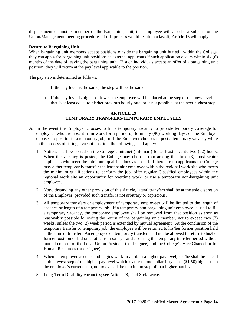displacement of another member of the Bargaining Unit, that employee will also be a subject for the Union/Management meeting procedure. If this process would result in a layoff, Article 16 will apply.

#### **Return to Bargaining Unit**

When bargaining unit members accept positions outside the bargaining unit but still within the College, they can apply for bargaining unit positions as external applicants if such application occurs within six (6) months of the date of leaving the bargaining unit. If such individuals accept an offer of a bargaining unit position, they will return at the pay level applicable to the position.

The pay step is determined as follows:

- a. If the pay level is the same, the step will be the same;
- b. If the pay level is higher or lower, the employee will be placed at the step of that new level that is at least equal to his/her previous hourly rate, or if not possible, at the next highest step.

#### **ARTICLE 19 TEMPORARY TRANSFERS/TEMPORARY EMPLOYEES**

- A. In the event the Employer chooses to fill a temporary vacancy to provide temporary coverage for employees who are absent from work for a period up to ninety (90) working days, or the Employer chooses to post to fill a temporary job, or if the Employer chooses to post a temporary vacancy while in the process of filling a vacant position, the following shall apply:
	- 1. Notices shall be posted on the College's intranet (Infomart) for at least seventy-two (72) hours. When the vacancy is posted, the College may choose from among the three (3) most senior applicants who meet the minimum qualifications as posted. If there are no applicants the College may either temporarily transfer the least senior employee within the regional work site who meets the minimum qualifications to perform the job, offer regular Classified employees within the regional work site an opportunity for overtime work, or use a temporary non-bargaining unit employee.
	- 2. Notwithstanding any other provision of this Article, lateral transfers shall be at the sole discretion of the Employer, provided such transfer is not arbitrary or capricious.
	- 3. All temporary transfers or employment of temporary employees will be limited to the length of absence or length of a temporary job. If a temporary non-bargaining unit employee is used to fill a temporary vacancy, the temporary employee shall be removed from that position as soon as reasonably possible following the return of the bargaining unit member, not to exceed two (2) weeks, unless the two (2) week period is extended by mutual agreement. At the conclusion of the temporary transfer or temporary job, the employee will be returned to his/her former position held at the time of transfer. An employee on temporary transfer shall not be allowed to return to his/her former position or bid on another temporary transfer during the temporary transfer period without mutual consent of the Local Union President (or designee) and the College's Vice Chancellor for Human Resources (or designee).
	- 4. When an employee accepts and begins work in a job in a higher pay level, she/he shall be placed at the lowest step of the higher pay level which is at least one dollar fifty cents (\$1.50) higher than the employee's current step, not to exceed the maximum step of that higher pay level.
	- 5. Long-Term Disability vacancies; see Article 28, Paid Sick Leave.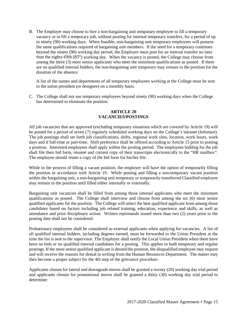B. The Employer may choose to hire a non-bargaining unit temporary employee to fill a temporary vacancy or to fill a temporary job, without posting for internal temporary transfers, for a period of up to ninety (90) working days. When feasible, non-bargaining unit temporary employees will possess the same qualifications required of bargaining unit members.If the need for a temporary continues beyond the ninety (90) working day period, the Employer must post for an internal transfer no later than the eighty-fifth (85th) working day.When the vacancy is posted, the College may choose from among the three (3) most senior applicants who meet the minimum qualifications as posted. If there are no qualified internal bidders, the non-bargaining unit temporary may remain in the position for the duration of the absence.

A list of the names and departments of all temporary employees working at the College must be sent to the union president (or designee) on a monthly basis.

C. The College shall not use temporary employees beyond ninety (90) working days when the College has determined to eliminate the position.

#### **ARTICLE 20 VACANCIES/POSTINGS**

All job vacancies that are approved (excluding temporary situations which are covered by Article 19) will be posted for a period of seven (7) regularly scheduled working days on the College's intranet (Infomart). The job postings shall set forth job classifications, shifts, regional work sites, location, work hours, work days and if full-time or part-time. Shift preference shall be offered according to Article 15 prior to posting a position. Interested employees shall apply within the posting period. The employees bidding for the job shall file their bid form, résumé and current copy of their transcripts electronically to the "HR mailbox". The employee should retain a copy of the bid form for his/her file.

While in the process of filling a vacant position, the employer will have the option of temporarily filling the position in accordance with Article 19. While posting and filling a non-temporary vacant position within the bargaining unit, a non-bargaining unit temporary or temporarily transferred Classified employee may remain in the position until filled either internally or externally.

Bargaining unit vacancies shall be filled from among those internal applicants who meet the minimum qualifications as posted. The College shall interview and choose from among the six (6) most senior qualified applicants for the position. The College will select the best qualified applicant from among those candidates based on factors including job related training, education, experience and skills, as well as attendance and prior disciplinary action. Written reprimands issued more than two (2) years prior to the posting date shall not be considered.

Probationary employees shall be considered as external applicants when applying for vacancies. A list of all qualified internal bidders, including degrees earned, must be forwarded to the Union President at the time the list is sent to the supervisor. The Employer shall notify the Local Union President when there have been no bids or no qualified internal candidates for a posting. This applies to both temporary and regular postings. If the most senior qualified applicant is denied the position, the disqualified employee may request and will receive the reasons for denial in writing from the Human Resources Department. The matter may then become a proper subject for the 4th step of the grievance procedure.

Applicants chosen for lateral and downgrade moves shall be granted a twenty (20) working day trial period and applicants chosen for promotional moves shall be granted a thirty (30) working day trial period to determine: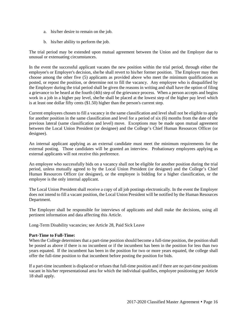- a. his/her desire to remain on the job.
- b. his/her ability to perform the job.

The trial period may be extended upon mutual agreement between the Union and the Employer due to unusual or extenuating circumstances.

In the event the successful applicant vacates the new position within the trial period, through either the employee's or Employer's decision, she/he shall revert to his/her former position. The Employer may then choose among the other five (5) applicants as provided above who meet the minimum qualifications as posted, or repost the position, or determine not to fill the vacancy. Any employee who is disqualified by the Employer during the trial period shall be given the reasons in writing and shall have the option of filing a grievance to be heard at the fourth (4th) step of the grievance process. When a person accepts and begins work in a job in a higher pay level, she/he shall be placed at the lowest step of the higher pay level which is at least one dollar fifty cents (\$1.50) higher than the person's current step.

Current employees chosen to fill a vacancy in the same classification and level shall not be eligible to apply for another position in the same classification and level for a period of six (6) months from the date of the previous lateral (same classification and level) move. Exceptions may be made upon mutual agreement between the Local Union President (or designee) and the College's Chief Human Resources Officer (or designee).

An internal applicant applying as an external candidate must meet the minimum requirements for the external posting. Those candidates will be granted an interview. Probationary employees applying as external applicants will not receive this preference.

An employee who successfully bids on a vacancy shall not be eligible for another position during the trial period, unless mutually agreed to by the Local Union President (or designee) and the College's Chief Human Resources Officer (or designee), or the employee is bidding for a higher classification, or the employee is the only internal applicant.

The Local Union President shall receive a copy of all job postings electronically. In the event the Employer does not intend to fill a vacant position, the Local Union President will be notified by the Human Resources Department.

The Employer shall be responsible for interviews of applicants and shall make the decisions, using all pertinent information and data affecting this Article.

Long-Term Disability vacancies; see Article 28, Paid Sick Leave

#### **Part-Time to Full-Time:**

When the College determines that a part-time position should become a full-time position, the position shall be posted as above if there is no incumbent or if the incumbent has been in the position for less than two years equated. If the incumbent has been in the position for two or more years equated, the college shall offer the full-time position to that incumbent before posting the position for bids.

If a part-time incumbent is displaced or refuses that full-time position and if there are no part-time positions vacant in his/her representational area for which the individual qualifies, employee positioning per Article 18 shall apply.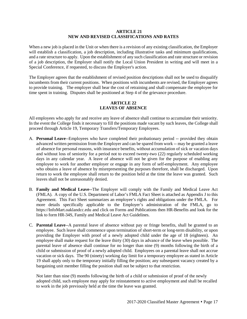#### **ARTICLE 21 NEW AND REVISED CLASSIFICATIONS AND RATES**

When a new job is placed in the Unit or when there is a revision of any existing classification, the Employer will establish a classification, a job description, including illustrative tasks and minimum qualifications, and a rate structure to apply. Upon the establishment of any such classification and rate structure or revision of a job description, the Employer shall notify the Local Union President in writing and will meet in a Special Conference, if requested, to discuss the Employer's action.

The Employer agrees that the establishment of revised position descriptions shall not be used to disqualify incumbents from their current positions. When positions with incumbents are revised, the Employer agrees to provide training. The employer shall bear the cost of retraining and shall compensate the employee for time spent in training. Disputes shall be positioned at Step 4 of the grievance procedure.

#### **ARTICLE 22 LEAVES OF ABSENCE**

All employees who apply for and receive any leave of absence shall continue to accumulate their seniority. In the event the College finds it necessary to fill the positions made vacant by such leaves, the College shall proceed through Article 19, Temporary Transfers/Temporary Employees.

- A. **Personal Leave**--Employees who have completed their probationary period -- provided they obtain advanced written permission from the Employer and can be spared from work -- may be granted a leave of absence for personal reasons, with insurance benefits, without accumulation of sick or vacation days and without loss of seniority for a period not to exceed twenty-two (22) regularly scheduled working days in any calendar year. A leave of absence will not be given for the purpose of enabling any employee to work for another employer or engage in any form of self-employment. Any employee who obtains a leave of absence by misrepresenting the purposes therefore, shall be discharged. Upon return to work the employee shall return to the position held at the time the leave was granted. Such leaves shall not be unreasonably denied.
- B. **Family and Medical Leave--**The Employer will comply with the Family and Medical Leave Act (FMLA). A copy of the U.S. Department of Labor's FMLA Fact Sheet is attached as Appendix J to this Agreement. This Fact Sheet summarizes an employee's rights and obligations under the FMLA. For more details specifically applicable to the Employer's administration of the FMLA, go to https://InfoMart.oaklandcc.edu and click on Forms and Publications then HR-Benefits and look for the link to form HR-34S, Family and Medical Leave Act Guidelines.
- C. **Parental Leave**--A parental leave of absence without pay or fringe benefits, shall be granted to an employee. Such leave shall commence upon termination of short-term or long-term disability, or upon providing the Employer with proof of a newly adopted child under the age of 18 (eighteen). An employee shall make request for the leave thirty (30) days in advance of the leave when possible. The parental leave of absence shall continue for no longer than nine (9) months following the birth of a child or submission of proof of a newly adopted child. Employees on a parental leave shall not accrue vacation or sick days. The 90 (ninety) working day limit for a temporary employee as stated in Article 19 shall apply only to the temporary initially filling the position; any subsequent vacancy created by a bargaining unit member filling the position shall not be subject to that restriction.

Not later than nine (9) months following the birth of a child or submission of proof of the newly adopted child, such employee may apply for reinstatement to active employment and shall be recalled to work in the job previously held at the time the leave was granted.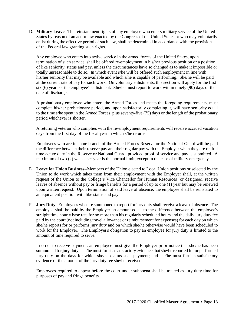D. **Military Leave**--The reinstatement rights of any employee who enters military service of the United States by reason of an act or law enacted by the Congress of the United States or who may voluntarily enlist during the effective period of such law, shall be determined in accordance with the provisions of the Federal law granting such rights.

Any employee who enters into active service in the armed forces of the United States, upon termination of such service, shall be offered re-employment in his/her previous position or a position of like seniority, status and pay, unless the circumstances have so changed as to make it impossible or totally unreasonable to do so. In which event s/he will be offered such employment in line with his/her seniority that may be available and which s/he is capable of performing. She/he will be paid at the current rate of pay for such work. On voluntary enlistments, this section will apply for the first six (6) years of the employee's enlistment. She/he must report to work within ninety (90) days of the date of discharge.

A probationary employee who enters the Armed Forces and meets the foregoing requirements, must complete his/her probationary period, and upon satisfactorily completing it, will have seniority equal to the time s/he spent in the Armed Forces, plus seventy-five (75) days or the length of the probationary period whichever is shorter.

A returning veteran who complies with the re-employment requirements will receive accrued vacation days from the first day of the fiscal year in which s/he returns.

Employees who are in some branch of the Armed Forces Reserve or the National Guard will be paid the difference between their reserve pay and their regular pay with the Employer when they are on full time active duty in the Reserve or National Guard, provided proof of service and pay is submitted. A maximum of two (2) weeks per year is the normal limit, except in the case of military emergency.

- E. **Leave for Union Business**--Members of the Union elected to Local Union positions or selected by the Union to do work which takes them from their employment with the Employer shall, at the written request of the Union to the College's Vice Chancellor for Human Resources (or designee), receive leaves of absence without pay or fringe benefits for a period of up to one (1) year but may be renewed upon written request. Upon termination of said leave of absence, the employee shall be reinstated to an equivalent position with like status and pay.
- F. **Jury Duty**--Employees who are summoned to report for jury duty shall receive a leave of absence. The employee shall be paid by the Employer an amount equal to the difference between the employee's straight time hourly base rate for no more than his regularly scheduled hours and the daily jury duty fee paid by the court (not including travel allowance or reimbursement for expenses) for each day on which she/he reports for or performs jury duty and on which she/he otherwise would have been scheduled to work for the Employer. The Employer's obligation to pay an employee for jury duty is limited to the amount of time required to serve.

In order to receive payment, an employee must give the Employer prior notice that she/he has been summoned for jury duty; she/he must furnish satisfactory evidence that she/he reported for or performed jury duty on the days for which she/he claims such payment; and she/he must furnish satisfactory evidence of the amount of the jury duty fee she/he received.

Employees required to appear before the court under subpoena shall be treated as jury duty time for purposes of pay and fringe benefits.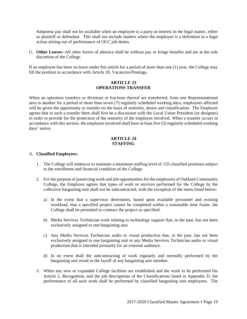Subpoena pay shall not be available when an employee is a party-at-interest in the legal matter, either as plaintiff or defendant. This shall not include matters where the employee is a defendant in a legal action arising out of performance of OCC job duties.

G. **Other Leaves--**All other leaves of absence shall be without pay or fringe benefits and are at the sole discretion of the College.

If an employee has been on leave under this article for a period of more than one (1) year, the College may fill the position in accordance with Article 20, Vacancies/Postings.

#### **ARTICLE 23 OPERATIONS TRANSFER**

When an operation transfers or divisions or fractions thereof are transferred, from one Representational area to another for a period of more than seven (7) regularly scheduled working days, employees affected will be given the opportunity to transfer on the basis of seniority, desire and classification. The Employer agrees that in such a transfer there shall first be a discussion with the Local Union President (or designee) in order to provide for the protection of the seniority of the employee involved. When a transfer occurs in accordance with this section, the employee involved shall have at least five (5) regularly scheduled working days' notice.

#### **ARTICLE 24 STAFFING**

#### A. **Classified Employees:**

- 1. The College will endeavor to maintain a minimum staffing level of 155 classified positions subject to the enrollment and financial condition of the College.
- 2. For the purpose of preserving work and job opportunities for the employees of Oakland Community College, the Employer agrees that types of work or services performed for the College by the collective bargaining unit shall not be subcontracted, with the exception of the items listed below:
	- a) In the event that a supervisor determines, based upon available personnel and existing workload, that a specified project cannot be completed within a reasonable time frame, the College shall be permitted to contract the project so specified.
	- b) Media Services Technician work relating to technology support that, in the past, has not been exclusively assigned to one bargaining unit.
	- c) Any Media Services Technician audio or visual production that, in the past, has not been exclusively assigned to one bargaining unit or any Media Services Technician audio or visual production that is intended primarily for an external audience.
	- d) In no event shall the subcontracting of work regularly and normally performed by the bargaining unit result in the layoff of any bargaining unit member.
- 3. When any new or expanded College facilities are established and the work to be performed fits Article 2, Recognition, and the job descriptions of the Classifications listed in Appendix D, the performance of all such work shall be performed by classified bargaining unit employees. The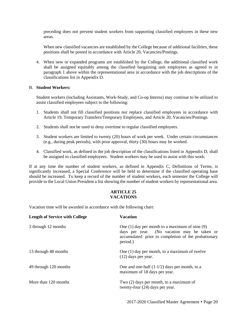preceding does not prevent student workers from supporting classified employees in these new areas.

When new classified vacancies are established by the College because of additional facilities, these positions shall be posted in accordance with Article 20, Vacancies/Postings.

4. When new or expanded programs are established by the College, the additional classified work shall be assigned equitably among the classified bargaining unit employees as agreed to in paragraph 1 above within the representational area in accordance with the job descriptions of the classifications list in Appendix D.

#### B. **Student Workers:**

Student workers (including Assistants, Work-Study, and Co-op Interns) may continue to be utilized to assist classified employees subject to the following:

- 1. Students shall not fill classified positions nor replace classified employees in accordance with Article 19, Temporary Transfers/Temporary Employees, and Article 20, Vacancies/Postings.
- 2. Students shall not be used to deny overtime to regular classified employees.
- 3. Student workers are limited to twenty (20) hours of work per week. Under certain circumstances (e.g., during peak periods), with prior approval, thirty (30) hours may be worked.
- 4. Classified work, as defined in the job description of the classifications listed in Appendix D, shall be assigned to classified employees. Student workers may be used to assist with this work.

If at any time the number of student workers, as defined in Appendix C, Definitions of Terms, is significantly increased, a Special Conference will be held to determine if the classified operating base should be increased. To keep a record of the number of student workers, each semester the College will provide to the Local Union President a list showing the number of student workers by representational area.

#### **ARTICLE 25 VACATIONS**

Vacation time will be awarded in accordance with the following chart:

| <b>Length of Service with College</b> | <b>Vacation</b>                                                                                                                                                      |
|---------------------------------------|----------------------------------------------------------------------------------------------------------------------------------------------------------------------|
| 3 through 12 months                   | One $(1)$ day per month to a maximum of nine $(9)$<br>days per year. (No vacation may be taken or<br>accumulated prior to completion of the probationary<br>period.) |
| 13 through 48 months                  | One (1) day per month, to a maximum of twelve<br>$(12)$ days per year.                                                                                               |
| 49 through 120 months                 | One and one-half $(1-1/2)$ days per month, to a<br>maximum of 18 days per year.                                                                                      |
| More than 120 months                  | Two $(2)$ days per month, to a maximum of<br>twenty-four (24) days per year.                                                                                         |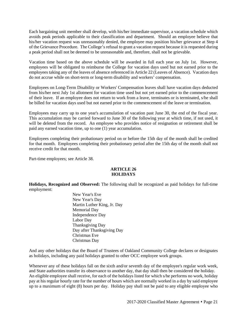Each bargaining unit member shall develop, with his/her immediate supervisor, a vacation schedule which avoids peak periods applicable to their classification and department. Should an employee believe that his/her vacation request was unreasonably denied, the employee may position his/her grievance at Step 4 of the Grievance Procedure. The College's refusal to grant a vacation request because it is requested during a peak period shall not be deemed to be unreasonable and, therefore, shall not be grievable.

Vacation time based on the above schedule will be awarded in full each year on July 1st. However, employees will be obligated to reimburse the College for vacation days used but not earned prior to the employees taking any of the leaves of absence referenced in Article 22 (Leaves of Absence). Vacation days do not accrue while on short-term or long-term disability and workers' compensation.

Employees on Long-Term Disability or Workers' Compensation leaves shall have vacation days deducted from his/her next July 1st allotment for vacation time used but not yet earned prior to the commencement of their leave. If an employee does not return to work from a leave, terminates or is terminated, s/he shall be billed for vacation days used but not earned prior to the commencement of the leave or termination.

Employees may carry up to one year's accumulation of vacation past June 30, the end of the fiscal year. This accumulation may be carried forward to June 30 of the following year at which time, if not used, it will be deleted from the record. An employee who provides notice of resignation or retirement shall be paid any earned vacation time, up to one (1) year accumulation.

Employees completing their probationary period on or before the 15th day of the month shall be credited for that month. Employees completing their probationary period after the 15th day of the month shall not receive credit for that month.

Part-time employees; see Article 38.

#### **ARTICLE 26 HOLIDAYS**

**Holidays, Recognized and Observed:** The following shall be recognized as paid holidays for full-time employment:

> New Year's Eve New Year's Day Martin Luther King, Jr. Day Memorial Day Independence Day Labor Day Thanksgiving Day Day after Thanksgiving Day Christmas Eve Christmas Day

And any other holidays that the Board of Trustees of Oakland Community College declares or designates as holidays, including any paid holidays granted to other OCC employee work groups.

Whenever any of these holidays fall on the sixth and/or seventh day of the employee's regular work week, and State authorities transfer its observance to another day, that day shall then be considered the holiday. An eligible employee shall receive, for each of the holidays listed for which s/he performs no work, holiday pay at his regular hourly rate for the number of hours which are normally worked in a day by said employee up to a maximum of eight (8) hours per day. Holiday pay shall not be paid to any eligible employee who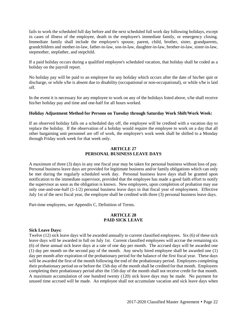fails to work the scheduled full day before and the next scheduled full work day following holidays, except in cases of illness of the employee, death in the employee's immediate family, or emergency closing. Immediate family shall include the employee's spouse, parent, child, brother, sister, grandparents, grandchildren and mother-in-law, father-in-law, son-in-law, daughter-in-law, brother-in-law, sister-in-law, stepmother, stepfather, and stepchild.

If a paid holiday occurs during a qualified employee's scheduled vacation, that holiday shall be coded as a holiday on the payroll report.

No holiday pay will be paid to an employee for any holiday which occurs after the date of his/her quit or discharge, or while s/he is absent due to disability (occupational or non-occupational), or while s/he is laid off.

In the event it is necessary for any employee to work on any of the holidays listed above, s/he shall receive his/her holiday pay and time and one-half for all hours worked.

#### **Holiday Adjustment Method for Persons on Tuesday through Saturday Work Shift/Work Week:**

If an observed holiday falls on a scheduled day off, the employee will be credited with a vacation day to replace the holiday. If the observation of a holiday would require the employee to work on a day that all other bargaining unit personnel are off of work, the employee's work week shall be shifted to a Monday through Friday work week for that week only.

#### **ARTICLE 27 PERSONAL BUSINESS LEAVE DAYS**

A maximum of three (3) days in any one fiscal year may be taken for personal business without loss of pay. Personal business leave days are provided for legitimate business and/or family obligations which can only be met during the regularly scheduled work day. Personal business leave days shall be granted upon notification to the immediate supervisor, provided that the employee has made a good faith effort to notify the supervisor as soon as the obligation is known. New employees, upon completion of probation may use only one-and-one-half (1-1/2) personal business leave days in that fiscal year of employment. Effective July 1st of the next fiscal year, the employee shall be credited with three (3) personal business leave days.

Part-time employees, see Appendix C, Definition of Terms.

#### **ARTICLE 28 PAID SICK LEAVE**

#### **Sick Leave Days:**

Twelve (12) sick leave days will be awarded annually to current classified employees. Six (6) of these sick leave days will be awarded in full on July 1st. Current classified employees will accrue the remaining six (6) of these annual sick leave days at a rate of one day per month. The accrued days will be awarded one (1) day per month on the second pay of the month.Any newly hired employee shall be awarded one (1) day per month after expiration of the probationary period for the balance of the first fiscal year. These days will be awarded the first of the month following the end of the probationary period. Employees completing their probationary period on or before the 15th day of the month shall be credited for that month. Employees completing their probationary period after the 15th day of the month shall not receive credit for that month. A maximum accumulation of one hundred twenty (120) sick leave days may be made. No payment for unused time accrued will be made. An employee shall not accumulate vacation and sick leave days when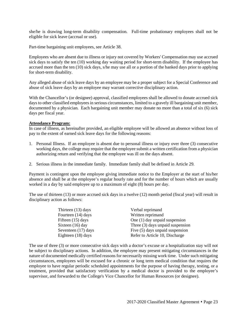she/he is drawing long-term disability compensation. Full-time probationary employees shall not be eligible for sick leave (accrual or use).

Part-time bargaining unit employees, see Article 38.

Employees who are absent due to illness or injury not covered by Workers' Compensation may use accrued sick days to satisfy the ten (10) working day waiting period for short-term disability. If the employee has accrued more than the ten (10) sick days, s/he may use all or a portion of the banked days prior to applying for short-term disability.

Any alleged abuse of sick leave days by an employee may be a proper subject for a Special Conference and abuse of sick leave days by an employee may warrant corrective disciplinary action*.*

With the Chancellor's (or designee) approval, classified employees shall be allowed to donate accrued sick days to other classified employees in serious circumstances, limited to a gravely ill bargaining unit member, documented by a physician. Each bargaining unit member may donate no more than a total of six (6) sick days per fiscal year.

#### **Attendance Program:**

In case of illness, as hereinafter provided, an eligible employee will be allowed an absence without loss of pay to the extent of earned sick leave days for the following reasons:

- 1. Personal Illness. If an employee is absent due to personal illness or injury over three (3) consecutive working days, the college may require that the employee submit a written certification from a physician authorizing return and verifying that the employee was ill on the days absent.
- 2. Serious illness in the immediate family. Immediate family shall be defined in Article 29.

Payment is contingent upon the employee giving immediate notice to the Employer at the start of his/her absence and shall be at the employee's regular hourly rate and for the number of hours which are usually worked in a day by said employee up to a maximum of eight (8) hours per day.

The use of thirteen (13) or more accrued sick days in a twelve (12) month period (fiscal year) will result in disciplinary action as follows:

| Thirteen (13) days  | Verbal reprimand                 |
|---------------------|----------------------------------|
| Fourteen (14) days  | Written reprimand                |
| Fifteen (15) days   | One $(1)$ day unpaid suspension  |
| Sixteen (16) day    | Three (3) days unpaid suspension |
| Seventeen (17) days | Five (5) days unpaid suspension  |
| Eighteen (18) days  | Refer to Article 10, Discharge   |

The use of three (3) or more consecutive sick days with a doctor's excuse or a hospitalization stay will not be subject to disciplinary actions. In addition, the employee may present mitigating circumstances in the nature of documented medically certified reasons for necessarily missing work time. Under such mitigating circumstances, employees will be excused for a chronic or long term medical condition that requires the employee to have regular periodic scheduled appointments for the purpose of having therapy, testing, or a treatment, provided that satisfactory verification by a medical doctor is provided to the employee's supervisor, and forwarded to the College's Vice Chancellor for Human Resources (or designee).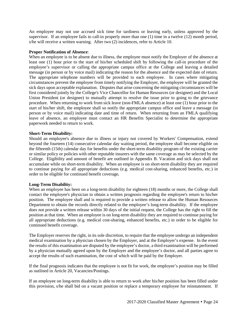An employee may not use accrued sick time for tardiness or leaving early, unless approved by the supervisor. If an employee fails to call-in properly more than one (1) time in a twelve (12) month period, s/he will receive a written warning. After two (2) incidences, refer to Article 10.

#### **Proper Notification of Absence**:

When an employee is to be absent due to illness, the employee must notify the Employer of the absence at least one (1) hour prior to the start of his/her scheduled shift by following the call-in procedure of the employee's supervisor or calling the appropriate campus office at the College and leaving a detailed message (in person or by voice mail) indicating the reason for the absence and the expected date of return. The appropriate telephone numbers will be provided to each employee. In cases where mitigating circumstances prevent the employee from timely notifying the Employer, the employee will be granted the sick days upon acceptable explanation. Disputes that arise concerning the mitigating circumstances will be first considered jointly by the College's Vice Chancellor for Human Resources (or designee) and the Local Union President (or designee) to mutually attempt to resolve the issue prior to going to the grievance procedure. When returning to work from sick leave (non-FMLA absence) at least one (1) hour prior to the start of his/her shift, the employee shall so notify the appropriate campus office and leave a message (in person or by voice mail) indicating date and time of return. When returning from an FMLA qualifying leave of absence, an employee must contact an HR Benefits Specialist to determine the appropriate paperwork needed to return to work.

#### **Short-Term Disability:**

Should an employee's absence due to illness or injury not covered by Workers' Compensation, extend beyond the fourteen (14) consecutive calendar day waiting period, the employee shall become eligible on the fifteenth (15th) calendar day for benefits under the short-term disability program of the existing carrier or similar policy or policies with other reputable insurers with the same coverage as may be selected by the College. Eligibility and amount of benefit are outlined in Appendix B. Vacation and sick days shall not accumulate while on short-term disability. When an employee is on short-term disability they are required to continue paying for all appropriate deductions (e.g. medical cost-sharing, enhanced benefits, etc.) in order to be eligible for continued benefit coverage*.*

#### **Long-Term Disability:**

When an employee has been on a long-term disability for eighteen (18) months or more, the College shall contact the employee's physician to obtain a written prognosis regarding the employee's return to his/her position. The employee shall and is required to provide a written release to allow the Human Resources Department to obtain the records directly related to the employee's long-term disability. If the employee does not provide a written release within 30 days of the initial request, the College has the right to fill the position at that time. When an employee is on long-term disability they are required to continue paying for all appropriate deductions (e.g. medical cost-sharing, enhanced benefits, etc.) in order to be eligible for continued benefit coverage.

The Employer reserves the right, in its sole discretion, to require that the employee undergo an independent medical examination by a physician chosen by the Employer, and at the Employer's expense. In the event the results of this examination are disputed by the employee's doctor, a third examination will be performed by a physician mutually agreed upon by the Employer and the employee's doctor, and all parties agree to accept the results of such examination, the cost of which will be paid by the Employer.

If the final prognosis indicates that the employee is not fit for work, the employee's position may be filled as outlined in Article 20, Vacancies/Postings.

If an employee on long-term disability is able to return to work after his/her position has been filled under this provision, s/he shall bid on a vacant position or replace a temporary employee for reinstatement. If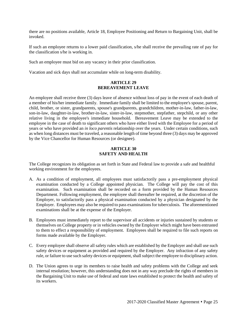there are no positions available, Article 18, Employee Positioning and Return to Bargaining Unit, shall be invoked.

If such an employee returns to a lower paid classification, s/he shall receive the prevailing rate of pay for the classification s/he is working in.

Such an employee must bid on any vacancy in their prior classification.

Vacation and sick days shall not accumulate while on long-term disability.

#### **ARTICLE 29 BEREAVEMENT LEAVE**

An employee shall receive three (3) days leave of absence without loss of pay in the event of each death of a member of his/her immediate family. Immediate family shall be limited to the employee's spouse, parent, child, brother, or sister, grandparents, spouse's grandparents, grandchildren, mother-in-law, father-in-law, son-in-law, daughter-in-law, brother-in-law, sister-in-law, stepmother, stepfather, stepchild, or any other relative living in the employee's immediate household. Bereavement Leave may be extended to the employee in the case of death to significant others who have either lived with the Employee for a period of years or who have provided an *in loco parentis* relationship over the years. Under certain conditions, such as when long distances must be traveled, a reasonable length of time beyond three (3) days may be approved by the Vice Chancellor for Human Resources (or designee).

#### **ARTICLE 30 SAFETY AND HEALTH**

The College recognizes its obligation as set forth in State and Federal law to provide a safe and healthful working environment for the employees.

- A. As a condition of employment, all employees must satisfactorily pass a pre-employment physical examination conducted by a College appointed physician. The College will pay the cost of this examination. Such examination shall be recorded on a form provided by the Human Resources Department. Following employment, the employee shall thereafter be required, at the discretion of the Employer, to satisfactorily pass a physical examination conducted by a physician designated by the Employer. Employees may also be required to pass examinations for tuberculosis. The aforementioned examinations shall be at the expense of the Employer.
- B. Employees must immediately report to the supervisor all accidents or injuries sustained by students or themselves on College property or in vehicles owned by the Employer which might have been entrusted to them to effect a responsibility of employment. Employees shall be required to file such reports on forms made available by the Employer.
- C. Every employee shall observe all safety rules which are established by the Employer and shall use such safety devices or equipment as provided and required by the Employer. Any infraction of any safety rule, or failure to use such safety devices or equipment, shall subject the employee to disciplinary action.
- D. The Union agrees to urge its members to raise health and safety problems with the College and seek internal resolution; however, this understanding does not in any way preclude the rights of members in the Bargaining Unit to make use of federal and state laws established to protect the health and safety of its workers.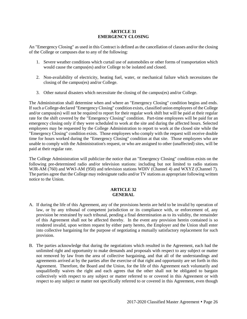#### **ARTICLE 31 EMERGENCY CLOSING**

An "Emergency Closing" as used in this Contract is defined as the cancellation of classes and/or the closing of the College or campuses due to any of the following:

- 1. Severe weather conditions which curtail use of automobiles or other forms of transportation which would cause the campus(es) and/or College to be isolated and closed.
- 2. Non-availability of electricity, heating fuel, water, or mechanical failure which necessitates the closing of the campus(es) and/or College.
- 3. Other natural disasters which necessitate the closing of the campus(es) and/or College.

The Administration shall determine when and where an "Emergency Closing" condition begins and ends. If such a College-declared "Emergency Closing" condition exists, classified union employees of the College and/or campus(es) will not be required to report for their regular work shift but will be paid at their regular rate for the shift covered by the "Emergency Closing" condition. Part-time employees will be paid for an emergency closing only if they were scheduled to work at the site and during the affected hours. Selected employees may be requested by the College Administration to report to work at the closed site while the "Emergency Closing" condition exists. Those employees who comply with the request will receive double time for hours worked during the "Emergency Closing" condition at that site. Those employees who are unable to comply with the Administration's request, or who are assigned to other (unaffected) sites, will be paid at their regular rate.

The College Administration will publicize the notice that an "Emergency Closing" condition exists on the following pre-determined radio and/or television stations: including but not limited to radio stations WJR-AM (760) and WWJ-AM (950) and television stations WDIV (Channel 4) and WXYZ (Channel 7). The parties agree that the College may redesignate radio and/or TV stations as appropriate following written notice to the Union.

#### **ARTICLE 32 GENERAL**

- A. If during the life of this Agreement, any of the provisions herein are held to be invalid by operation of law, or by any tribunal of competent jurisdiction or its compliance with, or enforcement of, any provision be restrained by such tribunal, pending a final determination as to its validity, the remainder of this Agreement shall not be affected thereby. In the event any provision herein contained is so rendered invalid, upon written request by either party hereto, the Employer and the Union shall enter into collective bargaining for the purpose of negotiating a mutually satisfactory replacement for such provision.
- B. The parties acknowledge that during the negotiations which resulted in the Agreement, each had the unlimited right and opportunity to make demands and proposals with respect to any subject or matter not removed by law from the area of collective bargaining, and that all of the understandings and agreements arrived at by the parties after the exercise of that right and opportunity are set forth in this Agreement. Therefore, the Board and the Union, for the life of this Agreement each voluntarily and unqualifiedly waives the right and each agrees that the other shall not be obligated to bargain collectively with respect to any subject or matter referred to or covered in this Agreement or with respect to any subject or matter not specifically referred to or covered in this Agreement, even though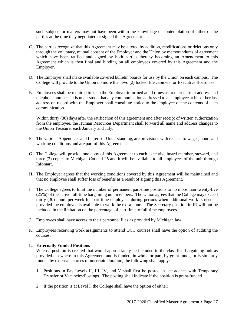such subjects or matters may not have been within the knowledge or contemplation of either of the parties at the time they negotiated or signed this Agreement.

- C. The parties recognize that this Agreement may be altered by addition, modifications or deletions only through the voluntary, mutual consent of the Employer and the Union by memorandums of agreement which have been ratified and signed by both parties thereby becoming an Amendment to this Agreement which is then final and binding on all employees covered by this Agreement and the Employer.
- D. The Employer shall make available covered bulletin boards for use by the Union on each campus. The College will provide to the Union no more than two (2) locked file cabinets for Executive Board use.
- E. Employees shall be required to keep the Employer informed at all times as to their current address and telephone number. It is understood that any communication addressed to an employee at his or her last address on record with the Employer shall constitute notice to the employee of the contents of such communication.

Within thirty (30) days after the ratification of this agreement and after receipt of written authorization from the employee, the Human Resources Department shall forward all name and address changes to the Union Treasurer each January and July.

- F. The various Appendices and Letters of Understanding, are provisions with respect to wages, hours and working conditions and are part of this Agreement.
- G. The College will provide one copy of this Agreement to each executive board member, steward, and three (3) copies to Michigan Council 25 and it will be available to all employees of the unit through Infomart.
- H. The Employer agrees that the working conditions covered by this Agreement will be maintained and that no employee shall suffer loss of benefits as a result of signing this Agreement.
- I. The College agrees to limit the number of permanent part-time positions to no more than twenty-five (25%) of the active full-time bargaining unit members. The Union agrees that the College may exceed thirty (30) hours per week for part-time employees during periods when additional work is needed, provided the employee is available to work the extra hours. The Secretary position in IR will not be included in the limitation on the percentage of part-time to full-time employees.
- J. Employees shall have access to their personnel files as provided by Michigan law.
- K. Employees receiving work assignments to attend OCC courses shall have the option of auditing the courses.

#### L. **Externally Funded Positions**

When a position is created that would appropriately be included in the classified bargaining unit as provided elsewhere in this Agreement and is funded, in whole or part, by grant funds, or is similarly funded by external sources of uncertain duration, the following shall apply:

- 1. Positions in Pay Levels II, III, IV, and V shall first be posted in accordance with Temporary Transfer or Vacancies/Postings. The posting shall indicate if the position is grant-funded.
- 2. If the position is at Level I, the College shall have the option of either: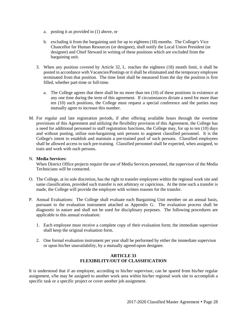- a. posting it as provided in (1) above, or
- b. excluding it from the bargaining unit for up to eighteen (18) months. The College's Vice Chancellor for Human Resources (or designee), shall notify the Local Union President (or designee) and Chief Steward in writing of these positions which are excluded from the bargaining unit.
- 3. When any position covered by Article 32, L. reaches the eighteen (18) month limit, it shall be posted in accordance with Vacancies/Postings or it shall be eliminated and the temporary employee terminated from that position. The time limit shall be measured from the day the position is first filled, whether part-time or full-time.
	- a. The College agrees that there shall be no more than ten (10) of these positions in existence at any one time during the term of this agreement. If circumstances dictate a need for more than ten (10) such positions, the College must request a special conference and the parties may mutually agree to increase this number.
- M. For regular and late registration periods, if after offering available hours through the overtime provisions of this Agreement and utilizing the flexibility provision of this Agreement, the College has a need for additional personnel to staff registration functions, the College may, for up to ten (10) days and without posting, utilize non-bargaining unit persons to augment classified personnel. It is the College's intent to establish and maintain a pre-trained pool of such persons. Classified employees shall be allowed access to such pre-training. Classified personnel shall be expected, when assigned, to train and work with such persons.

#### N. **Media Services:**

When District Office projects require the use of Media Services personnel, the supervisor of the Media Technicians will be contacted.

- O. The College, at its sole discretion, has the right to transfer employees within the regional work site and same classification, provided such transfer is not arbitrary or capricious. At the time such a transfer is made, the College will provide the employee with written reasons for the transfer.
- P. Annual Evaluations: The College shall evaluate each Bargaining Unit member on an annual basis, pursuant to the evaluation instrument attached as Appendix G. The evaluation process shall be diagnostic in nature and shall not be used for disciplinary purposes. The following procedures are applicable to this annual evaluation:
	- 1. Each employee must receive a complete copy of their evaluation form; the immediate supervisor shall keep the original evaluation form.
	- 2. One formal evaluation instrument per year shall be performed by either the immediate supervisor or upon his/her unavailability, by a mutually agreed-upon designee.

#### **ARTICLE 33 FLEXIBILITY/OUT OF CLASSIFICATION**

It is understood that if an employee, according to his/her supervisor, can be spared from his/her regular assignment, s/he may be assigned to another work area within his/her regional work site to accomplish a specific task or a specific project or cover another job assignment.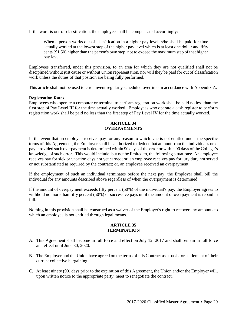If the work is out-of-classification, the employee shall be compensated accordingly:

When a person works out-of-classification in a higher pay level, s/he shall be paid for time actually worked at the lowest step of the higher pay level which is at least one dollar and fifty cents (\$1.50) higher than the person's own step, not to exceed the maximum step of that higher pay level.

Employees transferred, under this provision, to an area for which they are not qualified shall not be disciplined without just cause or without Union representation*,* nor will they be paid for out of classification work unless the duties of that position are being fully performed.

This article shall not be used to circumvent regularly scheduled overtime in accordance with Appendix A.

#### **Registration Rates**

Employees who operate a computer or terminal to perform registration work shall be paid no less than the first step of Pay Level III for the time actually worked. Employees who operate a cash register to perform registration work shall be paid no less than the first step of Pay Level IV for the time actually worked.

#### **ARTICLE 34 OVERPAYMENTS**

In the event that an employee receives pay for any reason to which s/he is not entitled under the specific terms of this Agreement, the Employer shall be authorized to deduct that amount from the individual's next pay, provided such overpayment is determined within 90 days of the error or within 90 days of the College's knowledge of such error. This would include, but not be limited to, the following situations: An employee receives pay for sick or vacation days not yet earned; or, an employee receives pay for jury duty not served or not substantiated as required by the contract; or, an employee received an overpayment.

If the employment of such an individual terminates before the next pay, the Employer shall bill the individual for any amounts described above regardless of when the overpayment is determined.

If the amount of overpayment exceeds fifty percent (50%) of the individual's pay, the Employer agrees to withhold no more than fifty percent (50%) of successive pays until the amount of overpayment is repaid in full.

Nothing in this provision shall be construed as a waiver of the Employer's right to recover any amounts to which an employee is not entitled through legal means.

#### **ARTICLE 35 TERMINATION**

- A. This Agreement shall become in full force and effect on July 12, 2017 and shall remain in full force and effect until June 30, 2020.
- B. The Employer and the Union have agreed on the terms of this Contract as a basis for settlement of their current collective bargaining.
- C. At least ninety (90) days prior to the expiration of this Agreement, the Union and/or the Employer will, upon written notice to the appropriate party, meet to renegotiate the contract.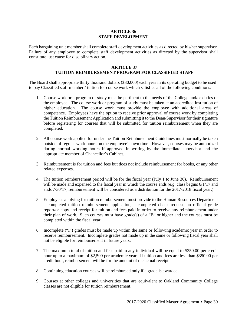#### **ARTICLE 36 STAFF DEVELOPMENT**

Each bargaining unit member shall complete staff development activities as directed by his/her supervisor. Failure of any employee to complete staff development activities as directed by the supervisor shall constitute just cause for disciplinary action.

#### **ARTICLE 37**

### **TUITION REIMBURSEMENT PROGRAM FOR CLASSIFIED STAFF**

The Board shall appropriate thirty thousand dollars (\$30,000) each year in its operating budget to be used to pay Classified staff members' tuition for course work which satisfies all of the following conditions:

- 1. Course work or a program of study must be pertinent to the needs of the College and/or duties of the employee. The course work or program of study must be taken at an accredited institution of higher education. The course work must provide the employee with additional areas of competence. Employees have the option to receive prior approval of course work by completing the Tuition Reimbursement Application and submitting it to the Dean/Supervisor for their signature before registering for courses that will be submitted for tuition reimbursement when they are completed.
- 2. All course work applied for under the Tuition Reimbursement Guidelines must normally be taken outside of regular work hours on the employee's own time. However, courses may be authorized during normal working hours if approved in writing by the immediate supervisor and the appropriate member of Chancellor's Cabinet.
- 3. Reimbursement is for tuition and fees but does not include reimbursement for books, or any other related expenses.
- 4. The tuition reimbursement period will be for the fiscal year (July 1 to June 30). Reimbursement will be made and expensed to the fiscal year in which the course ends (e.g. class begins  $6/1/17$  and ends 7/30/17, reimbursement will be considered as a distribution for the 2017-2018 fiscal year.)
- 5. Employees applying for tuition reimbursement must provide to the Human Resources Department a completed tuition reimbursement application, a completed check request, an official grade report/or copy and receipt for tuition and fees paid in order to receive any reimbursement under their plan of work. Such courses must have grade(s) of a "B" or higher and the courses must be completed within the fiscal year.
- 6. Incomplete ("I") grades must be made up within the same or following academic year in order to receive reimbursement. Incomplete grades not made up in the same or following fiscal year shall not be eligible for reimbursement in future years.
- 7. The maximum total of tuition and fees paid to any individual will be equal to \$350.00 per credit hour up to a maximum of \$2,500 per academic year. If tuition and fees are less than \$350.00 per credit hour, reimbursement will be for the amount of the actual receipt.
- 8. Continuing education courses will be reimbursed only if a grade is awarded.
- 9. Courses at other colleges and universities that are equivalent to Oakland Community College classes are not eligible for tuition reimbursement.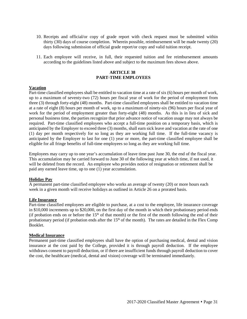- 10. Receipts and official/or copy of grade report with check request must be submitted within thirty (30) days of course completion. Wherein possible, reimbursement will be made twenty (20) days following submission of official grade report/or copy and valid tuition receipt.
- 11. Each employee will receive, in full, their requested tuition and fee reimbursement amounts according to the guidelines listed above and subject to the maximum fees shown above.

#### **ARTICLE 38 PART-TIME EMPLOYEES**

#### **Vacation**

Part-time classified employees shall be entitled to vacation time at a rate of six (6) hours per month of work, up to a maximum of seventy-two (72) hours per fiscal year of work for the period of employment from three (3) through forty-eight (48) months. Part-time classified employees shall be entitled to vacation time at a rate of eight (8) hours per month of work, up to a maximum of ninety-six (96) hours per fiscal year of work for the period of employment greater than forty-eight (48) months. As this is in lieu of sick and personal business time, the parties recognize that prior advance notice of vacation usage may not always be required. Part-time classified employees who accept a full-time position on a temporary basis, which is anticipated by the Employer to exceed three (3) months, shall earn sick leave and vacation at the rate of one (1) day per month respectively for so long as they are working full time. If the full-time vacancy is anticipated by the Employer to last for one (1) year or more, the part-time classified employee shall be eligible for all fringe benefits of full-time employees so long as they are working full time.

Employees may carry up to one year's accumulation of leave time past June 30, the end of the fiscal year. This accumulation may be carried forward to June 30 of the following year at which time, if not used, it will be deleted from the record. An employee who provides notice of resignation or retirement shall be paid any earned leave time, up to one (1) year accumulation.

#### **Holiday Pay**

A permanent part-time classified employee who works an average of twenty (20) or more hours each week in a given month will receive holidays as outlined in Article 26 on a prorated basis.

#### **Life Insurance**

Part-time classified employees are eligible to purchase, at a cost to the employee, life insurance coverage in \$10,000 increments up to \$20,000, on the first day of the month in which their probationary period ends (if probation ends on or before the  $15<sup>th</sup>$  of that month) or the first of the month following the end of their probationary period (if probation ends after the  $15<sup>th</sup>$  of the month). The rates are detailed in the Flex Comp Booklet.

#### **Medical Insurance**

Permanent part-time classified employees shall have the option of purchasing medical, dental and vision insurance at the cost paid by the College, provided it is through payroll deduction. If the employee withdraws consent to payroll deduction, or if there are insufficient funds through payroll deduction to cover the cost, the healthcare (medical, dental and vision) coverage will be terminated immediately.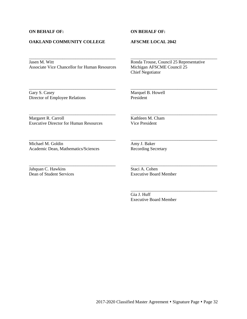#### **ON BEHALF OF: ON BEHALF OF:**

#### **OAKLAND COMMUNITY COLLEGE AFSCME LOCAL 2042**

#### Jasen M. Witt<br>
Associate Vice Chancellor for Human Resources<br>
Michigan AFSCME Council 25 Associate Vice Chancellor for Human Resources

\_\_\_\_\_\_\_\_\_\_\_\_\_\_\_\_\_\_\_\_\_\_\_\_\_\_\_\_\_\_\_\_\_\_\_\_\_\_\_ \_\_\_\_\_\_\_\_\_\_\_\_\_\_\_\_\_\_\_\_\_\_\_\_\_\_\_\_\_\_\_\_\_\_\_\_\_\_\_

\_\_\_\_\_\_\_\_\_\_\_\_\_\_\_\_\_\_\_\_\_\_\_\_\_\_\_\_\_\_\_\_\_\_\_\_\_\_\_ \_\_\_\_\_\_\_\_\_\_\_\_\_\_\_\_\_\_\_\_\_\_\_\_\_\_\_\_\_\_\_\_\_\_\_\_\_\_\_

\_\_\_\_\_\_\_\_\_\_\_\_\_\_\_\_\_\_\_\_\_\_\_\_\_\_\_\_\_\_\_\_\_\_\_\_\_\_\_ \_\_\_\_\_\_\_\_\_\_\_\_\_\_\_\_\_\_\_\_\_\_\_\_\_\_\_\_\_\_\_\_\_\_\_\_\_\_\_

\_\_\_\_\_\_\_\_\_\_\_\_\_\_\_\_\_\_\_\_\_\_\_\_\_\_\_\_\_\_\_\_\_\_\_\_\_\_\_ \_\_\_\_\_\_\_\_\_\_\_\_\_\_\_\_\_\_\_\_\_\_\_\_\_\_\_\_\_\_\_\_\_\_\_\_\_\_\_

\_\_\_\_\_\_\_\_\_\_\_\_\_\_\_\_\_\_\_\_\_\_\_\_\_\_\_\_\_\_\_\_\_\_\_\_\_\_\_ \_\_\_\_\_\_\_\_\_\_\_\_\_\_\_\_\_\_\_\_\_\_\_\_\_\_\_\_\_\_\_\_\_\_\_\_\_\_\_

Chief Negotiator

Gary S. Casey<br>Director of Employee Relations<br>President<br>President Director of Employee Relations

Margaret R. Carroll Kathleen M. Cham Executive Director for Human Resources Vice President

Michael M. Goldin Amy J. Baker<br>Academic Dean, Mathematics/Sciences Recording Secretary Academic Dean, Mathematics/Sciences

Jahquan C. Hawkins Staci A. Cohen<br>
Dean of Student Services Executive Board

Executive Board Member

Gia J. Huff Executive Board Member

\_\_\_\_\_\_\_\_\_\_\_\_\_\_\_\_\_\_\_\_\_\_\_\_\_\_\_\_\_\_\_\_\_\_\_\_\_\_\_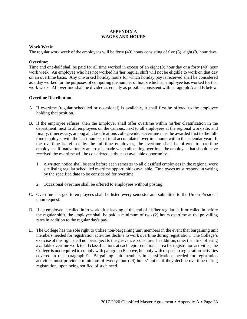#### **APPENDIX A WAGES AND HOURS**

#### **Work Week:**

The regular work week of the employees will be forty (40) hours consisting of five (5), eight (8) hour days.

#### **Overtime**:

Time and one-half shall be paid for all time worked in excess of an eight (8) hour day or a forty (40) hour work week. An employee who has not worked his/her regular shift will not be eligible to work on that day on an overtime basis. Any unworked holiday hours for which holiday pay is received shall be considered as a day worked for the purposes of computing the number of hours which an employee has worked for that work week. All overtime shall be divided as equally as possible consistent with paragraph A and B below.

#### **Overtime Distribution:**

- A. If overtime (regular scheduled or occasional) is available, it shall first be offered to the employee holding that position.
- B. If the employee refuses, then the Employer shall offer overtime within his/her classification in the department; next to all employees on the campus; next to all employees at the regional work site; and finally, if necessary, among all classifications collegewide. Overtime must be awarded first to the fulltime employee with the least number of total accumulated overtime hours within the calendar year. If the overtime is refused by the full-time employees, the overtime shall be offered to part-time employees. If inadvertently an error is made when allocating overtime, the employee that should have received the overtime will be considered at the next available opportunity.
	- 1. A written notice shall be sent before each semester to all classified employees in the regional work site listing regular scheduled overtime opportunities available. Employees must respond in writing by the specified date to be considered for overtime.
	- 2. Occasional overtime shall be offered to employees without posting.
- C. Overtime charged to employees shall be listed every semester and submitted to the Union President upon request.
- D. If an employee is called in to work after leaving at the end of his/her regular shift or called in before the regular shift, the employee shall be paid a minimum of two (2) hours overtime at the prevailing rates in addition to the regular day's pay.
- E. The College has the sole right to utilize non-bargaining unit members in the event that bargaining unit members needed for registration activities decline to work overtime during registration. The College's exercise of this right shall not be subject to the grievance procedure. In addition, other than first offering available overtime work to all classifications at each representational area for registration activities, the College is not required to comply with paragraph B above, but only with respect to registration activities covered in this paragraph E. Bargaining unit members in classifications needed for registration activities must provide a minimum of twenty-four (24) hours' notice if they decline overtime during registration, upon being notified of such need.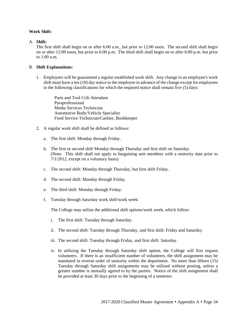#### **Work Shift:**

#### A. **Shift:**

The first shift shall begin on or after 6:00 a.m., but prior to 12:00 noon. The second shift shall begin on or after 12:00 noon, but prior to 6:00 p.m. The third shift shall begin on or after 6:00 p.m. but prior to 1:00 a.m.

#### B. **Shift Explanations:**

1. Employees will be guaranteed a regular established work shift. Any change in an employee's work shift must have a ten (10) day notice to the employee in advance of the change except for employees in the following classifications for which the required notice shall remain five (5) days:

Parts and Tool Crib Attendant Paraprofessional Media Services Technician Automotive Body/Vehicle Specialist Food Service Technician/Cashier, Bookkeeper

- 2. A regular work shift shall be defined as follows:
	- a. The first shift: Monday through Friday.
	- b. The first or second shift Monday through Thursday and first shift on Saturday. (Note: This shift shall not apply to bargaining unit members with a seniority date prior to 7/1/2012, except on a voluntary basis)
	- c. The second shift: Monday through Thursday, but first shift Friday.
	- d. The second shift: Monday through Friday.
	- e. The third shift: Monday through Friday.
	- f. Tuesday through Saturday work shift/work week:

The College may utilize the additional shift options/work week, which follow:

- i. The first shift: Tuesday through Saturday.
- ii. The second shift: Tuesday through Thursday, and first shift: Friday and Saturday.
- iii. The second shift: Tuesday through Friday, and first shift: Saturday.
- iv. In utilizing the Tuesday through Saturday shift option, the College will first request volunteers. If there is an insufficient number of volunteers, the shift assignment may be mandated in reverse order of seniority within the department. No more than fifteen (15) Tuesday through Saturday shift assignments may be utilized without posting, unless a greater number is mutually agreed to by the parties. Notice of the shift assignment shall be provided at least 30 days prior to the beginning of a semester.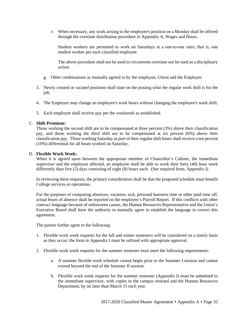v. When necessary, any work arising in the employee's position on a Monday shall be offered through the overtime distribution procedure in Appendix A, Wages and Hours.

Student workers are permitted to work on Saturdays at a one-to-one ratio; that is, one student worker per each classified employee.

The above procedure shall not be used to circumvent overtime nor be used as a disciplinary action.

- g. Other combinations as mutually agreed to by the employee, Union and the Employer.
- 3. Newly created or vacated positions shall state on the posting what the regular work shift is for the job.
- 4. The Employer may change an employee's work hours without changing the employee's work shift.
- 5. Each employee shall receive pay per the workweek as established.

#### C. **Shift Premium:**

Those working the second shift are to be compensated at three percent (3%) above their classification pay, and those working the third shift are to be compensated at six percent (6%) above their classification pay. Those working Saturday as part of their regular shift hours shall receive a ten percent (10%) differential for all hours worked on Saturday.

#### D. **Flexible Work Week:**

When it is agreed upon between the appropriate member of Chancellor's Cabinet, the immediate supervisor and the employee affected, an employee shall be able to work their forty (40) hour week differently than five (5) days consisting of eight (8) hours each. (See required form, Appendix I)

In reviewing these requests, the primary consideration shall be that the proposed schedule must benefit College services or operations.

For the purposes of computing absences, vacation, sick, personal business time or other paid time off, actual hours of absence shall be reported on the employee's Payroll Report. If this conflicts with other contract language because of unforeseen causes, the Human Resources Representative and the Union's Executive Board shall have the authority to mutually agree to establish the language to correct this agreement.

The parties further agree to the following:

- 1. Flexible work week requests for the fall and winter semesters will be considered on a timely basis as they occur; the form in Appendix I must be utilized with appropriate approval.
- 2. Flexible work week requests for the summer semester must meet the following requirements:
	- a. A summer flexible work schedule cannot begin prior to the Summer I session and cannot extend beyond the end of the Summer II session.
	- b. Flexible work week requests for the summer semester (Appendix I) must be submitted to the immediate supervisor, with copies to the campus steward and the Human Resources Department, by no later than March 15 each year.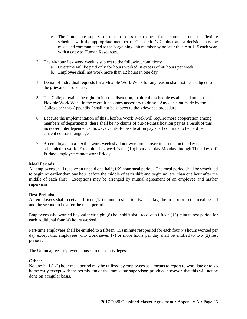- c. The immediate supervisor must discuss the request for a summer semester flexible schedule with the appropriate member of Chancellor's Cabinet and a decision must be made and communicated to the bargaining unit member by no later than April 15 each year, with a copy to Human Resources.
- 3. The 40-hour flex work week is subject to the following conditions:
	- a. Overtime will be paid only for hours worked in excess of 40 hours per week.
	- b. Employee shall not work more than 12 hours in one day.
- 4. Denial of individual requests for a Flexible Work Week for any reason shall not be a subject to the grievance procedure.
- 5. The College retains the right, in its sole discretion, to alter the schedule established under this Flexible Work Week in the event it becomes necessary to do so. Any decision made by the College per this Appendix I shall not be subject to the grievance procedure.
- 6. Because the implementation of this Flexible Work Week will require more cooperation among members of departments, there shall be no claims of out-of-classification pay as a result of this increased interdependence; however, out-of-classification pay shall continue to be paid per current contract language.
- 7. An employee on a flexible work week shall not work on an overtime basis on the day not scheduled to work. Example: flex week is ten (10) hours per day Monday through Thursday, off Friday; employee cannot work Friday.

#### **Meal Periods:**

All employees shall receive an unpaid one-half  $(1/2)$  hour meal period. The meal period shall be scheduled to begin no earlier than one hour before the middle of each shift and begin no later than one hour after the middle of each shift. Exceptions may be arranged by mutual agreement of an employee and his/her supervisor.

#### **Rest Periods:**

All employees shall receive a fifteen (15) minute rest period twice a day; the first prior to the meal period and the second to be after the meal period.

Employees who worked beyond their eight (8) hour shift shall receive a fifteen (15) minute rest period for each additional four (4) hours worked.

Part-time employees shall be entitled to a fifteen (15) minute rest period for each four (4) hours worked per day except that employees who work seven (7) or more hours per day shall be entitled to two (2) rest periods.

The Union agrees to prevent abuses to these privileges.

#### **Other:**

No one-half (1/2) hour meal period may be utilized by employees as a means to report to work late or to go home early except with the permission of the immediate supervisor, provided however, that this will not be done on a regular basis.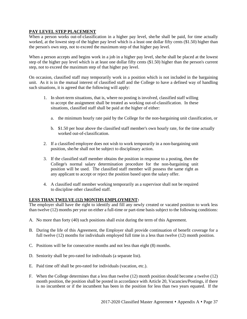### **PAY LEVEL STEP PLACEMENT**

When a person works out-of-classification in a higher pay level, she/he shall be paid, for time actually worked, at the lowest step of the higher pay level which is a least one dollar fifty cents (\$1.50) higher than the person's own step, not to exceed the maximum step of that higher pay level.

When a person accepts and begins work in a job in a higher pay level, she/he shall be placed at the lowest step of the higher pay level which is at least one dollar fifty cents (\$1.50) higher than the person's current step, not to exceed the maximum step of that higher pay level.

On occasion, classified staff may temporarily work in a position which is not included in the bargaining unit. As it is in the mutual interest of classified staff and the College to have a defined way of handling such situations, it is agreed that the following will apply:

- 1. In short-term situations, that is, where no posting is involved, classified staff willing to accept the assignment shall be treated as working out-of-classification. In these situations, classified staff shall be paid at the higher of either:
	- a. the minimum hourly rate paid by the College for the non-bargaining unit classification, or
	- b. \$1.50 per hour above the classified staff member's own hourly rate, for the time actually worked out-of-classification.
- 2. If a classified employee does not wish to work temporarily in a non-bargaining unit position, she/he shall not be subject to disciplinary action.
- 3. If the classified staff member obtains the position in response to a posting, then the College's normal salary determination procedure for the non-bargaining unit position will be used. The classified staff member will possess the same right as any applicant to accept or reject the position based upon the salary offer.
- 4. A classified staff member working temporarily as a supervisor shall not be required to discipline other classified staff.

#### **LESS THAN TWELVE (12) MONTHS EMPLOYMENT:**

The employer shall have the right to identify and fill any newly created or vacated position to work less than twelve (12) months per year on either a full-time or part-time basis subject to the following conditions:

- A. No more than forty (40) such positions shall exist during the term of this Agreement.
- B. During the life of this Agreement, the Employer shall provide continuation of benefit coverage for a full twelve (12) months for individuals employed full time in a less than twelve (12) month position.
- C. Positions will be for consecutive months and not less than eight (8) months.
- D. Seniority shall be pro-rated for individuals (a separate list).
- E. Paid time off shall be pro-rated for individuals (vacation, etc.).
- F. When the College determines that a less than twelve (12) month position should become a twelve (12) month position, the position shall be posted in accordance with Article 20, Vacancies/Postings, if there is no incumbent or if the incumbent has been in the position for less than two years equated. If the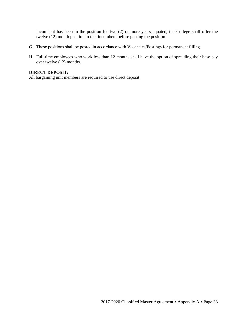incumbent has been in the position for two (2) or more years equated, the College shall offer the twelve (12) month position to that incumbent before posting the position.

- G. These positions shall be posted in accordance with Vacancies/Postings for permanent filling.
- H. Full-time employees who work less than 12 months shall have the option of spreading their base pay over twelve (12) months.

#### **DIRECT DEPOSIT:**

All bargaining unit members are required to use direct deposit.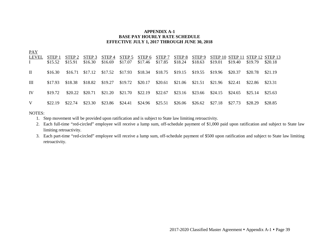#### **APPENDIX A-1 BASE PAY HOURLY RATE SCHEDULE EFFECTIVE JULY 1, 2017 THROUGH JUNE 30, 2018**

| <b>PAY</b><br>LEVEL<br>$\mathbf{I}$ | STEP <sub>1</sub><br>\$15.52 | STEP <sub>2</sub><br>\$15.91 | STEP 3<br>\$16.30 | STEP 4<br>\$16.69                   | STEP 5<br>\$17.07 | STEP 6<br>\$17.46 \$17.85 | STEP 7                     | STEP 8<br>\$18.24 | STEP 9<br>\$18.63 | \$19.01         | \$19.40 | \$19.79 | STEP 10 STEP 11 STEP 12 STEP 13<br>\$20.18 |
|-------------------------------------|------------------------------|------------------------------|-------------------|-------------------------------------|-------------------|---------------------------|----------------------------|-------------------|-------------------|-----------------|---------|---------|--------------------------------------------|
| $\mathbf{I}$                        | \$16.30                      |                              |                   | $$16.71$ $$17.12$ $$17.52$ $$17.93$ |                   |                           | \$18.34 \$18.75 \$19.15    |                   | \$19.55           | \$19.96 \$20.37 |         | \$20.78 | \$21.19                                    |
| Ш                                   | \$17.93                      | \$18.38                      | \$18.82           | $$19.27$ $$19.72$                   |                   |                           | \$20.17 \$20.61 \$21.06    |                   | \$21.51           | \$21.96 \$22.41 |         | \$22.86 | \$23.31                                    |
| IV                                  | \$19.72                      | \$20.22                      | \$20.71           | $$21.20$ $$21.70$                   |                   |                           | $$22.19$ $$22.67$ $$23.16$ |                   | \$23.66 \$24.15   |                 | \$24.65 | \$25.14 | \$25.63                                    |
| V                                   | \$22.19                      | \$22.74                      | \$23.30           | $$23.86$ $$24.41$                   |                   |                           | \$24.96 \$25.51 \$26.06    |                   | \$26.62           | \$27.18         | \$27.73 | \$28.29 | \$28.85                                    |

NOTES:

- 1. Step movement will be provided upon ratification and is subject to State law limiting retroactivity.
- 2. Each full-time "red-circled" employee will receive a lump sum, off-schedule payment of \$1,000 paid upon ratification and subject to State law limiting retroactivity.
- 3. Each part-time "red-circled" employee will receive a lump sum, off-schedule payment of \$500 upon ratification and subject to State law limiting retroactivity.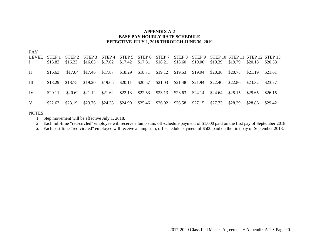#### **APPENDIX A-2 BASE PAY HOURLY RATE SCHEDULE EFFECTIVE JULY 1, 2018 THROUGH JUNE 30, 201**9

| <b>PAY</b><br>LEVEL<br>$\mathbf{I}$ | STEP 1<br>\$15.83 | STEP <sub>2</sub><br>\$16.23 | STEP 3<br>\$16.63 | STEP 4<br>\$17.02          | STEP 5<br>\$17.42 | STEP 6<br>\$17.81          | STEP 7<br>\$18.21 | STEP <sub>8</sub><br>\$18.60 | STEP 9<br>\$19.00 | \$19.39 | \$19.79 | STEP 10 STEP 11 STEP 12 STEP 13<br>\$20.18 | \$20.58 |
|-------------------------------------|-------------------|------------------------------|-------------------|----------------------------|-------------------|----------------------------|-------------------|------------------------------|-------------------|---------|---------|--------------------------------------------|---------|
| $\rm{II}$                           | \$16.63           | \$17.04                      | \$17.46           | \$17.87                    | \$18.29           | $$18.71$ $$19.12$ $$19.53$ |                   |                              | \$19.94           | \$20.36 | \$20.78 | \$21.19                                    | \$21.61 |
| Ш                                   | \$18.29           | \$18.75                      | \$19.20           | $$19.65$ $$20.11$          |                   | \$20.57                    | $$21.03$ $$21.48$ |                              | \$21.94           | \$22.40 | \$22.86 | \$23.32                                    | \$23.77 |
| IV                                  | \$20.11           | \$20.62                      |                   | $$21.12$ $$21.62$ $$22.13$ |                   | $$22.63$ $$23.13$ $$23.63$ |                   |                              | \$24.14           | \$24.64 | \$25.15 | \$25.65                                    | \$26.15 |
| V                                   | \$22.63           | \$23.19                      | \$23.76           | \$24.33                    | \$24.90           | \$25.46                    | $$26.02$ $$26.58$ |                              | \$27.15           | \$27.73 | \$28.29 | \$28.86                                    | \$29.42 |

NOTES:

1. Step movement will be effective July 1, 2018.

2. Each full-time "red-circled" employee will receive a lump sum, off-schedule payment of \$1,000 paid on the first pay of September 2018.

*3.* Each part-time "red-circled" employee will receive a lump sum, off-schedule payment of \$500 paid on the first pay of September 2018.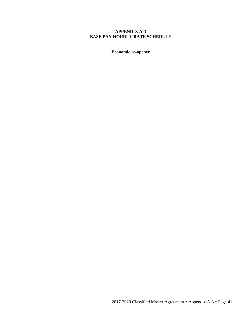#### **APPENDIX A-3 BASE PAY HOURLY RATE SCHEDULE**

**Economic re-opener**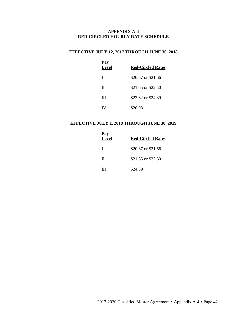#### **APPENDIX A-4 RED-CIRCLED HOURLY RATE SCHEDULE**

# **EFFECTIVE JULY 12, 2017 THROUGH JUNE 30, 2018**

| Pay<br><b>Level</b> | <b>Red-Circled Rates</b> |
|---------------------|--------------------------|
| I                   | \$20.67 or \$21.66       |
| П                   | \$21.65 or \$22.50       |
| Ш                   | \$23.62 or \$24.39       |
|                     | \$26.08                  |

## **EFFECTIVE JULY 1, 2018 THROUGH JUNE 30, 2019**

| Pay<br>Level | <b>Red-Circled Rates</b> |
|--------------|--------------------------|
| $\mathbf{I}$ | \$20.67 or \$21.66       |
| П            | \$21.65 or \$22.50       |
| ш            | \$24.39                  |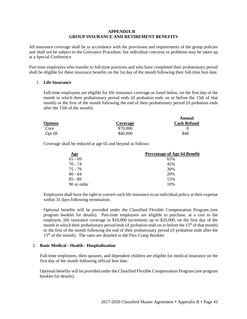#### **APPENDIX B GROUP INSURANCE AND RETIREMENT BENEFITS**

All insurance coverage shall be in accordance with the provisions and requirements of the group policies and shall not be subject to the Grievance Procedure, but individual concerns or problems may be taken up at a Special Conference.

Part-time employees who transfer to full-time positions and who have completed their probationary period shall be eligible for these insurance benefits on the 1st day of the month following their full-time hire date.

#### 1. **Life Insurance**

Full-time employees are eligible for life insurance coverage as listed below, on the first day of the month in which their probationary period ends (if probation ends on or before the 15th of that month) or the first of the month following the end of their probationary period (if probation ends after the 15th of the month):

|                |          | Annual             |
|----------------|----------|--------------------|
| <b>Options</b> | Coverage | <b>Cash Refund</b> |
| Core           | \$70,000 |                    |
| $Opt$ III      | \$40,000 | \$48               |

Coverage shall be reduced at age 65 and beyond as follows:

| <u>Age</u>  | Percentage of Age 64 Benefit |
|-------------|------------------------------|
| $65 - 69$   | 65%                          |
| 70 - 74     | 45%                          |
| 75 - 79     | 30%                          |
| $80 - 84$   | 20%                          |
| $85 - 89$   | 15%                          |
| 90 or older | 10%                          |

Employees shall have the right to convert such life insurance to an individual policy at their expense within 31 days following termination.

Optional benefits will be provided under the Classified Flexible Compensation Program (see program booklet for details). Part-time employees are eligible to purchase, at a cost to the employee, life insurance coverage in \$10,000 increments up to \$20,000, on the first day of the month in which their probationary period ends (if probation ends on or before the  $15<sup>th</sup>$  of that month) or the first of the month following the end of their probationary period (if probation ends after the  $15<sup>th</sup>$  of the month). The rates are detailed in the Flex Comp Booklet.

#### 2. **Basic Medical - Health - Hospitalization**

Full-time employees, their spouses, and dependent children are eligible for medical insurance on the first day of the month following official hire date.

Optional benefits will be provided under the Classified Flexible Compensation Program (see program booklet for details).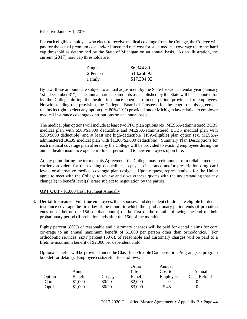Effective January 1, 2016:

For each eligible employee who elects to receive medical coverage from the College, the College will pay for the actual premium cost and/or illustrated rate cost for such medical coverage up to the hard cap threshold as determined by the State of Michigan on an annual basis. As an illustration, the current (2017) hard cap thresholds are:

| Single   | \$6,344.80  |
|----------|-------------|
| 2-Person | \$13,268.93 |
| Family   | \$17,304.02 |

By law, these amounts are subject to annual adjustment by the State for each calendar year (January 1st – December  $31<sup>st</sup>$ ). The annual hard cap amounts as established by the State will be accounted for by the College during the health insurance open enrollment period provided for employees. Notwithstanding this provision, the College's Board of Trustees for the length of this agreement retains its right to elect any option (i.e. 80%/20%) provided under Michigan law relative to employer medical insurance coverage contributions on an annual basis.

The medical plan options will include at least two PPO plan options (ex. MESSA-administered BCBS medical plan with \$500/\$1,000 deductible and MESSA-administered BCBS medical plan with \$300/\$600 deductible) and at least one high-deductible (HSA-eligible) plan option (ex. MESSAadministered BCBS medical plan with \$1,300/\$2,600 deductible). Summary Plan Descriptions for each medical coverage plan offered by the College will be provided to existing employees during the annual health insurance open enrollment period and to new employees upon hire.

At any point during the term of this Agreement, the College may seek quotes from reliable medical carriers/providers for the existing deductible, co-pay, co-insurance and/or prescription drug card levels or alternative medical coverage plan designs. Upon request, representatives for the Union agree to meet with the College to review and discuss these quotes with the understanding that any change(s) in benefit level(s) is/are subject to negotiation by the parties.

#### **OPT OUT -** \$1,000 Cash Payment Annually

3. **Dental Insurance** - Full-time employees, their spouses, and dependent children are eligible for dental insurance coverage the first day of the month in which their probationary period ends (if probation ends on or before the 15th of that month) or the first of the month following the end of their probationary period (if probation ends after the 15th of the month).

Eighty percent (80%) of reasonable and customary charges will be paid for dental claims for core coverage to an annual maximum benefit of \$1,000 per person other than orthodontics. For orthodontic services, sixty percent (60%), of reasonable and customary charges will be paid to a lifetime maximum benefit of \$2,000 per dependent child.

Optional benefits will be provided under the Classified Flexible Compensation Program (see program booklet for details). Employee costs/refunds as follows:

|        |         |        | Ortho   | Annual   |             |
|--------|---------|--------|---------|----------|-------------|
|        | Annual  |        | Life    | Cost to  | Annual      |
| Option | Benefit | Co-pay | Benefit | Employee | Cash Refund |
| Core   | \$1,000 | 80/20  | \$2,000 |          |             |
| Opt I  | \$1,000 | 80/20  | \$3,000 | \$48     |             |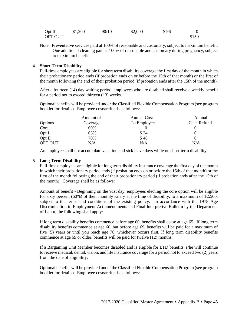| Opt II  | \$1,200 | 90/10 | \$2,000 | \$96 |       |
|---------|---------|-------|---------|------|-------|
| OPT OUT |         |       |         |      | \$150 |

Note: Preventative services paid at 100% of reasonable and customary, subject to maximum benefit. One additional cleaning paid at 100% of reasonable and customary during pregnancy, subject to maximum benefit.

#### 4. **Short Term Disability**

Full-time employees are eligible for short term disability coverage the first day of the month in which their probationary period ends (if probation ends on or before the 15th of that month) or the first of the month following the end of their probation period (if probation ends after the 15th of the month).

After a fourteen (14) day waiting period, employees who are disabled shall receive a weekly benefit for a period not to exceed thirteen (13) weeks.

Optional benefits will be provided under the Classified Flexible Compensation Program (see program booklet for details). Employee costs/refunds as follows:

|                | Amount of | Annual Cost | Annual      |
|----------------|-----------|-------------|-------------|
| Options        | Coverage  | To Employee | Cash Refund |
| Core           | 60%       |             |             |
| Opt I          | 65%       | \$24        |             |
| Opt II         | 70%       | \$48        |             |
| <b>OPT OUT</b> | N/A       | N/A         | N/A         |

An employee shall not accumulate vacation and sick leave days while on short-term disability.

#### 5. **Long Term Disability**

Full-time employees are eligible for long term disability insurance coverage the first day of the month in which their probationary period ends (if probation ends on or before the 15th of that month) or the first of the month following the end of their probationary period (if probation ends after the 15th of the month). Coverage shall be as follows:

Amount of benefit - Beginning on the 91st day, employees electing the core option will be eligible for sixty percent (60%) of their monthly salary at the time of disability, to a maximum of \$2,500, subject to the terms and conditions of the existing policy. In accordance with the 1978 Age Discrimination in Employment Act amendments and Final Interpretive Bulletin by the Department of Labor, the following shall apply:

If long term disability benefits commence before age 60, benefits shall cease at age 65. If long term disability benefits commence at age 60, but before age 69, benefits will be paid for a maximum of five (5) years or until you reach age 70, whichever occurs first. If long term disability benefits commence at age 69 or older, benefits will be paid for twelve (12) months.

If a Bargaining Unit Member becomes disabled and is eligible for LTD benefits, s/he will continue to receive medical, dental, vision, and life insurance coverage for a period not to exceed two (2) years from the date of eligibility.

Optional benefits will be provided under the Classified Flexible Compensation Program (see program booklet for details). Employee costs/refunds as follows: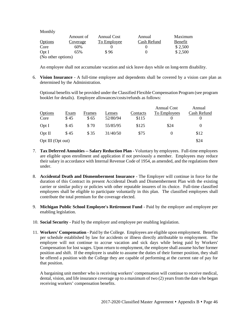| Monthly            |           |                    |             |         |
|--------------------|-----------|--------------------|-------------|---------|
|                    | Amount of | <b>Annual Cost</b> | Annual      | Maximum |
| <b>Options</b>     | Coverage  | To Employee        | Cash Refund | Benefit |
| Core               | 60%       |                    |             | \$2,500 |
| Opt I              | 65%       | \$96               |             | \$2,500 |
| (No other options) |           |                    |             |         |

An employee shall not accumulate vacation and sick leave days while on long-term disability.

6. **Vision Insurance** - A full-time employee and dependents shall be covered by a vision care plan as determined by the Administration.

Optional benefits will be provided under the Classified Flexible Compensation Program (see program booklet for details). Employee allowances/costs/refunds as follows:

|                   |      |        |          |          | <b>Annual Cost</b> | Annual      |
|-------------------|------|--------|----------|----------|--------------------|-------------|
| <b>Options</b>    | Exam | Frames | Lenses   | Contacts | To Employees       | Cash Refund |
| Core              | \$45 | \$65   | 52/80/94 | \$115    |                    | $\theta$    |
| Opt I             | \$45 | \$70   | 55/85/95 | \$125    | \$24               | $\Omega$    |
| Opt II            | \$45 | \$ 35  | 31/40/50 | \$75     |                    | \$12        |
| Opt III (Opt out) |      |        |          |          |                    | \$24        |

- 7. **Tax Deferred Annuities -- Salary Reduction Plan** Voluntary by employees. Full-time employees are eligible upon enrollment and application if not previously a member. Employees may reduce their salary in accordance with Internal Revenue Code of 1954, as amended, and the regulations there under.
- 8. **Accidental Death and Dismemberment Insurance** The Employer will continue in force for the duration of this Contract its present Accidental Death and Dismemberment Plan with the existing carrier or similar policy or policies with other reputable insurers of its choice. Full-time classified employees shall be eligible to participate voluntarily in this plan. The classified employees shall contribute the total premium for the coverage elected.
- 9. **Michigan Public School Employee's Retirement Fund** Paid by the employer and employee per enabling legislation.
- 10. **Social Security** Paid by the employer and employee per enabling legislation.
- 11. **Workers' Compensation** Paid by the College. Employees are eligible upon employment. Benefits per schedule established by law for accidents or illness directly attributable to employment. The employee will not continue to accrue vacation and sick days while being paid by Workers' Compensation for lost wages. Upon return to employment, the employee shall assume his/her former position and shift. If the employee is unable to assume the duties of their former position, they shall be offered a position with the College they are capable of performing at the current rate of pay for that position.

A bargaining unit member who is receiving workers' compensation will continue to receive medical, dental, vision, and life insurance coverage up to a maximum of two (2) years from the date s/he began receiving workers' compensation benefits.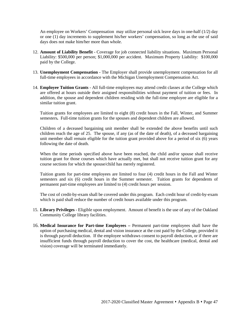An employee on Workers' Compensation may utilize personal sick leave days in one-half (1/2) day or one (1) day increments to supplement his/her workers' compensation, so long as the use of said days does not make him/her more than whole.

- 12. **Amount of Liability Benefit** Coverage for job connected liability situations. Maximum Personal Liability: \$500,000 per person; \$1,000,000 per accident. Maximum Property Liability: \$100,000 paid by the College.
- 13. **Unemployment Compensation** The Employer shall provide unemployment compensation for all full-time employees in accordance with the Michigan Unemployment Compensation Act.
- 14. **Employee Tuition Grants** All full-time employees may attend credit classes at the College which are offered at hours outside their assigned responsibilities without payment of tuition or fees. In addition, the spouse and dependent children residing with the full-time employee are eligible for a similar tuition grant.

Tuition grants for employees are limited to eight (8) credit hours in the Fall, Winter, and Summer semesters*.* Full-time tuition grants for the spouses and dependent children are allowed.

Children of a deceased bargaining unit member shall be extended the above benefits until such children reach the age of 25. The spouse, if any (as of the date of death), of a deceased bargaining unit member shall remain eligible for the tuition grant provided above for a period of six (6) years following the date of death.

When the time periods specified above have been reached, the child and/or spouse shall receive tuition grant for those courses which have actually met, but shall not receive tuition grant for any course sections for which the spouse/child has merely registered.

Tuition grants for part-time employees are limited to four (4) credit hours in the Fall and Winter semesters and six (6) credit hours in the Summer semester. Tuition grants for dependents of permanent part-time employees are limited to (4) credit hours per session.

The cost of credit-by-exam shall be covered under this program. Each credit hour of credit-by-exam which is paid shall reduce the number of credit hours available under this program.

- 15. **Library Privileges** Eligible upon employment. Amount of benefit is the use of any of the Oakland Community College library facilities.
- 16. **Medical Insurance for Part-time Employees –** Permanent part-time employees shall have the option of purchasing medical, dental and vision insurance at the cost paid by the College, provided it is through payroll deduction. If the employee withdraws consent to payroll deduction, or if there are insufficient funds through payroll deduction to cover the cost, the healthcare (medical, dental and vision) coverage will be terminated immediately.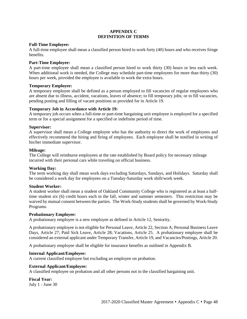#### **APPENDIX C DEFINITION OF TERMS**

#### **Full-Time Employee:**

A full-time employee shall mean a classified person hired to work forty (40) hours and who receives fringe benefits.

#### **Part-Time Employee:**

A part-time employee shall mean a classified person hired to work thirty (30) hours or less each week. When additional work is needed, the College may schedule part-time employees for more than thirty (30) hours per week, provided the employee is available to work the extra hours.

#### **Temporary Employee:**

A temporary employee shall be defined as a person employed to fill vacancies of regular employees who are absent due to illness, accident, vacations, leaves of absence; to fill temporary jobs; or to fill vacancies, pending posting and filling of vacant positions as provided for in Article 19.

#### **Temporary Job in Accordance with Article 19:**

A temporary job occurs when a full-time or part-time bargaining unit employee is employed for a specified term or for a special assignment for a specified or indefinite period of time.

#### **Supervisor:**

A supervisor shall mean a College employee who has the authority to direct the work of employees and effectively recommend the hiring and firing of employees. Each employee shall be notified in writing of his/her immediate supervisor.

#### **Mileage:**

The College will reimburse employees at the rate established by Board policy for necessary mileage incurred with their personal cars while traveling on official business.

#### **Working Day:**

The term working day shall mean work days excluding Saturdays, Sundays, and Holidays. Saturday shall be considered a work day for employees on a Tuesday-Saturday work shift/work week.

#### **Student Worker:**

A student worker shall mean a student of Oakland Community College who is registered as at least a halftime student six (6) credit hours each in the fall, winter and summer semesters. This restriction may be waived by mutual consent between the parties. The Work-Study students shall be governed by Work-Study Programs.

#### **Probationary Employee:**

A probationary employee is a new employee as defined in Article 12, Seniority.

A probationary employee is not eligible for Personal Leave, Article 22, Section A; Personal Business Leave Days, Article 27; Paid Sick Leave, Article 28; Vacations, Article 25. A probationary employee shall be considered an external applicant under Temporary Transfer, Article 19, and Vacancies/Postings, Article 20.

A probationary employee shall be eligible for insurance benefits as outlined in Appendix B.

#### **Internal Applicant/Employee:**

A current classified employee but excluding an employee on probation.

#### **External Applicant/Employee:**

A classified employee on probation and all other persons not in the classified bargaining unit.

**Fiscal Year:** July 1 - June 30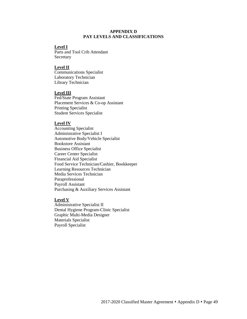#### **APPENDIX D PAY LEVELS AND CLASSIFICATIONS**

#### **Level I**

Parts and Tool Crib Attendant Secretary

#### **Level II**

Communications Specialist Laboratory Technician Library Technician

#### **Level III**

Fed/State Program Assistant Placement Services & Co-op Assistant Printing Specialist Student Services Specialist

#### **Level IV**

Accounting Specialist Administrative Specialist I Automotive Body/Vehicle Specialist Bookstore Assistant Business Office Specialist Career Center Specialist Financial Aid Specialist Food Service Technician/Cashier, Bookkeeper Learning Resources Technician Media Services Technician Paraprofessional Payroll Assistant Purchasing & Auxiliary Services Assistant

#### **Level V**

Administrative Specialist II Dental Hygiene Program-Clinic Specialist Graphic Multi-Media Designer Materials Specialist Payroll Specialist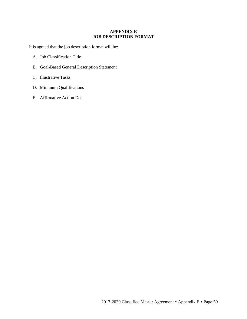#### **APPENDIX E JOB DESCRIPTION FORMAT**

It is agreed that the job description format will be:

- A. Job Classification Title
- B. Goal-Based General Description Statement
- C. Illustrative Tasks
- D. Minimum Qualifications
- E. Affirmative Action Data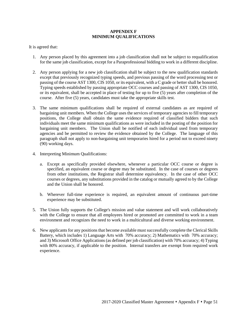#### **APPENDIX F MINIMUM QUALIFICATIONS**

It is agreed that:

- 1. Any person placed by this agreement into a job classification shall not be subject to requalification for the same job classification, except for a Paraprofessional bidding to work in a different discipline.
- 2. Any person applying for a new job classification shall be subject to the new qualification standards except that previously recognized typing speeds, and previous passing of the word processing test or passing of the course AST 1300, CIS 1050, or its equivalent, with a C grade or better shall be honored. Typing speeds established by passing appropriate OCC courses and passing of AST 1300, CIS 1050, or its equivalent, shall be accepted in place of testing for up to five (5) years after completion of the course. After five (5) years, candidates must take the appropriate skills test.
- 3. The same minimum qualifications shall be required of external candidates as are required of bargaining unit members. When the College uses the services of temporary agencies to fill temporary positions, the College shall obtain the same evidence required of classified bidders that such individuals meet the same minimum qualifications as were included in the posting of the position for bargaining unit members. The Union shall be notified of each individual used from temporary agencies and be permitted to review the evidence obtained by the College. The language of this paragraph shall not apply to non-bargaining unit temporaries hired for a period not to exceed ninety (90) working days.
- 4. Interpreting Minimum Qualifications:
	- a. Except as specifically provided elsewhere, whenever a particular OCC course or degree is specified, an equivalent course or degree may be substituted. In the case of courses or degrees from other institutions, the Registrar shall determine equivalency. In the case of other OCC courses or degrees, any substitutions provided in the catalog or mutually agreed to by the College and the Union shall be honored.
	- b. Wherever full-time experience is required, an equivalent amount of continuous part-time experience may be substituted.
- 5. The Union fully supports the College's mission and value statement and will work collaboratively with the College to ensure that all employees hired or promoted are committed to work in a team environment and recognizes the need to work in a multicultural and diverse working environment.
- 6. New applicants for any positions that become available must successfully complete the Clerical Skills Battery, which includes 1) Language Arts with 70% accuracy; 2) Mathematics with 70% accuracy; and 3) Microsoft Office Applications (as defined per job classification) with 70% accuracy; 4) Typing with 80% accuracy, if applicable to the position. Internal transfers are exempt from required work experience.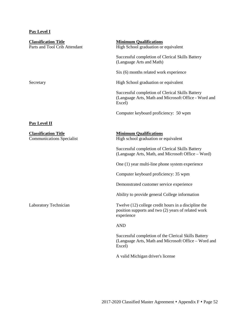# **Pay Level I**

| <b>Classification Title</b><br>Parts and Tool Crib Attendant    | <b>Minimum Qualifications</b><br>High School graduation or equivalent                                                     |
|-----------------------------------------------------------------|---------------------------------------------------------------------------------------------------------------------------|
|                                                                 | Successful completion of Clerical Skills Battery<br>(Language Arts and Math)                                              |
|                                                                 | Six (6) months related work experience                                                                                    |
| Secretary                                                       | High School graduation or equivalent                                                                                      |
|                                                                 | Successful completion of Clerical Skills Battery<br>(Language Arts, Math and Microsoft Office - Word and<br>Excel)        |
|                                                                 | Computer keyboard proficiency: 50 wpm                                                                                     |
| <b>Pay Level II</b>                                             |                                                                                                                           |
| <b>Classification Title</b><br><b>Communications Specialist</b> | <b>Minimum Qualifications</b><br>High school graduation or equivalent                                                     |
|                                                                 | Successful completion of Clerical Skills Battery<br>(Language Arts, Math, and Microsoft Office – Word)                    |
|                                                                 | One (1) year multi-line phone system experience                                                                           |
|                                                                 | Computer keyboard proficiency: 35 wpm                                                                                     |
|                                                                 | Demonstrated customer service experience                                                                                  |
|                                                                 | Ability to provide general College information                                                                            |
| <b>Laboratory Technician</b>                                    | Twelve (12) college credit hours in a discipline the<br>position supports and two (2) years of related work<br>experience |
|                                                                 | <b>AND</b>                                                                                                                |
|                                                                 | Successful completion of the Clerical Skills Battery<br>(Language Arts, Math and Microsoft Office - Word and<br>Excel)    |
|                                                                 | A valid Michigan driver's license                                                                                         |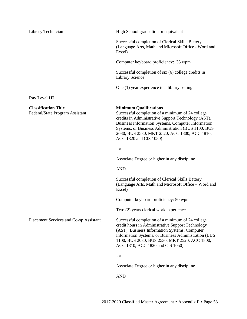Library Technician High School graduation or equivalent

Successful completion of Clerical Skills Battery (Language Arts, Math and Microsoft Office - Word and Excel)

Computer keyboard proficiency: 35 wpm

Successful completion of six (6) college credits in Library Science

One (1) year experience in a library setting

#### **Pay Level III**

**Classification Title**<br> **Classification Title**<br> **Minimum Qualifications**<br> **Successful completion of a** 

Successful completion of a minimum of 24 college credits in Administrative Support Technology (AST), Business Information Systems, Computer Information Systems, or Business Administration (BUS 1100, BUS 2030, BUS 2530, MKT 2520, ACC 1800, ACC 1810, ACC 1820 and CIS 1050)

-or-

Associate Degree or higher in any discipline

AND

Successful completion of Clerical Skills Battery (Language Arts, Math and Microsoft Office – Word and Excel)

Computer keyboard proficiency: 50 wpm

Two (2) years clerical work experience

Placement Services and Co-op Assistant Successful completion of a minimum of 24 college credit hours in Administrative Support Technology (AST), Business Information Systems, Computer Information Systems, or Business Administration (BUS 1100, BUS 2030, BUS 2530, MKT 2520, ACC 1800, ACC 1810, ACC 1820 and CIS 1050)

-or-

Associate Degree or higher in any discipline

AND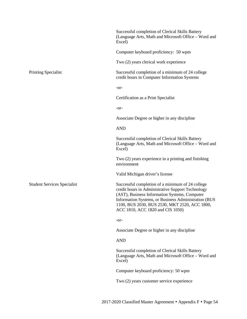|                                    | Successful completion of Clerical Skills Battery<br>(Language Arts, Math and Microsoft Office – Word and<br>Excel)                                                                                                                                                                                  |
|------------------------------------|-----------------------------------------------------------------------------------------------------------------------------------------------------------------------------------------------------------------------------------------------------------------------------------------------------|
|                                    | Computer keyboard proficiency: 50 wpm                                                                                                                                                                                                                                                               |
|                                    | Two (2) years clerical work experience                                                                                                                                                                                                                                                              |
| <b>Printing Specialist</b>         | Successful completion of a minimum of 24 college<br>credit hours in Computer Information Systems                                                                                                                                                                                                    |
|                                    | -or-                                                                                                                                                                                                                                                                                                |
|                                    | Certification as a Print Specialist                                                                                                                                                                                                                                                                 |
|                                    | -or-                                                                                                                                                                                                                                                                                                |
|                                    | Associate Degree or higher in any discipline                                                                                                                                                                                                                                                        |
|                                    | <b>AND</b>                                                                                                                                                                                                                                                                                          |
|                                    | Successful completion of Clerical Skills Battery<br>(Language Arts, Math and Microsoft Office - Word and<br>Excel)                                                                                                                                                                                  |
|                                    | Two (2) years experience in a printing and finishing<br>environment                                                                                                                                                                                                                                 |
|                                    | Valid Michigan driver's license                                                                                                                                                                                                                                                                     |
| <b>Student Services Specialist</b> | Successful completion of a minimum of 24 college<br>credit hours in Administrative Support Technology<br>(AST), Business Information Systems, Computer<br>Information Systems, or Business Administration (BUS<br>1100, BUS 2030, BUS 2530, MKT 2520, ACC 1800,<br>ACC 1810, ACC 1820 and CIS 1050) |
|                                    | -or-                                                                                                                                                                                                                                                                                                |
|                                    | Associate Degree or higher in any discipline                                                                                                                                                                                                                                                        |
|                                    | <b>AND</b>                                                                                                                                                                                                                                                                                          |
|                                    | Successful completion of Clerical Skills Battery<br>(Language Arts, Math and Microsoft Office - Word and<br>Excel)                                                                                                                                                                                  |
|                                    | Computer keyboard proficiency: 50 wpm                                                                                                                                                                                                                                                               |
|                                    | Two (2) years customer service experience                                                                                                                                                                                                                                                           |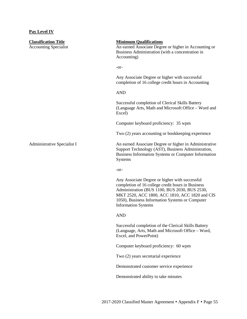# **Pay Level IV**

| <b>Classification Title</b><br><b>Accounting Specialist</b> | <b>Minimum Qualifications</b><br>An earned Associate Degree or higher in Accounting or<br>Business Administration (with a concentration in<br>Accounting)                                                                                                                               |
|-------------------------------------------------------------|-----------------------------------------------------------------------------------------------------------------------------------------------------------------------------------------------------------------------------------------------------------------------------------------|
|                                                             | -or-                                                                                                                                                                                                                                                                                    |
|                                                             | Any Associate Degree or higher with successful<br>completion of 16 college credit hours in Accounting                                                                                                                                                                                   |
|                                                             | <b>AND</b>                                                                                                                                                                                                                                                                              |
|                                                             | Successful completion of Clerical Skills Battery<br>(Language Arts, Math and Microsoft Office - Word and<br>Excel)                                                                                                                                                                      |
|                                                             | Computer keyboard proficiency: 35 wpm                                                                                                                                                                                                                                                   |
|                                                             | Two (2) years accounting or bookkeeping experience                                                                                                                                                                                                                                      |
| Administrative Specialist I                                 | An earned Associate Degree or higher in Administrative<br>Support Technology (AST), Business Administration,<br>Business Information Systems or Computer Information<br><b>Systems</b>                                                                                                  |
|                                                             | -or-                                                                                                                                                                                                                                                                                    |
|                                                             | Any Associate Degree or higher with successful<br>completion of 16 college credit hours in Business<br>Administration (BUS 1100, BUS 2030, BUS 2530,<br>MKT 2520, ACC 1800, ACC 1810, ACC 1820 and CIS<br>1050), Business Information Systems or Computer<br><b>Information Systems</b> |
|                                                             | <b>AND</b>                                                                                                                                                                                                                                                                              |
|                                                             | Successful completion of the Clerical Skills Battery<br>(Language, Arts, Math and Microsoft Office - Word,<br>Excel, and PowerPoint)                                                                                                                                                    |
|                                                             | Computer keyboard proficiency: 60 wpm                                                                                                                                                                                                                                                   |
|                                                             | Two (2) years secretarial experience                                                                                                                                                                                                                                                    |
|                                                             | Demonstrated customer service experience                                                                                                                                                                                                                                                |
|                                                             | Demonstrated ability to take minutes                                                                                                                                                                                                                                                    |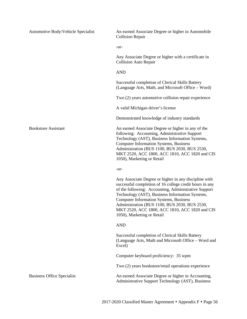| Automotive Body/Vehicle Specialist | An earned Associate Degree or higher in Automobile<br><b>Collision Repair</b>                                                                                                                                                                                                                                                                                                                                 |
|------------------------------------|---------------------------------------------------------------------------------------------------------------------------------------------------------------------------------------------------------------------------------------------------------------------------------------------------------------------------------------------------------------------------------------------------------------|
|                                    | -or-                                                                                                                                                                                                                                                                                                                                                                                                          |
|                                    | Any Associate Degree or higher with a certificate in<br><b>Collision Auto Repair</b>                                                                                                                                                                                                                                                                                                                          |
|                                    | <b>AND</b>                                                                                                                                                                                                                                                                                                                                                                                                    |
|                                    | Successful completion of Clerical Skills Battery<br>(Language Arts, Math, and Microsoft Office – Word)                                                                                                                                                                                                                                                                                                        |
|                                    | Two (2) years automotive collision repair experience                                                                                                                                                                                                                                                                                                                                                          |
|                                    | A valid Michigan driver's license                                                                                                                                                                                                                                                                                                                                                                             |
|                                    | Demonstrated knowledge of industry standards                                                                                                                                                                                                                                                                                                                                                                  |
| <b>Bookstore Assistant</b>         | An earned Associate Degree or higher in any of the<br>following: Accounting, Administrative Support<br>Technology (AST), Business Information Systems,<br><b>Computer Information Systems, Business</b><br>Administration (BUS 1100, BUS 2030, BUS 2530,<br>MKT 2520, ACC 1800, ACC 1810, ACC 1820 and CIS<br>1050), Marketing or Retail                                                                      |
|                                    | -or-                                                                                                                                                                                                                                                                                                                                                                                                          |
|                                    | Any Associate Degree or higher in any discipline with<br>successful completion of 16 college credit hours in any<br>of the following: Accounting, Administrative Support<br>Technology (AST), Business Information Systems,<br><b>Computer Information Systems, Business</b><br>Administration (BUS 1100, BUS 2030, BUS 2530,<br>MKT 2520, ACC 1800, ACC 1810, ACC 1820 and CIS<br>1050), Marketing or Retail |
|                                    | <b>AND</b>                                                                                                                                                                                                                                                                                                                                                                                                    |
|                                    | Successful completion of Clerical Skills Battery<br>(Language Arts, Math and Microsoft Office - Word and<br>Excel)                                                                                                                                                                                                                                                                                            |
|                                    | Computer keyboard proficiency: 35 wpm                                                                                                                                                                                                                                                                                                                                                                         |
|                                    | Two (2) years bookstore/retail operations experience                                                                                                                                                                                                                                                                                                                                                          |
| <b>Business Office Specialist</b>  | An earned Associate Degree or higher in Accounting,<br>Administrative Support Technology (AST), Business                                                                                                                                                                                                                                                                                                      |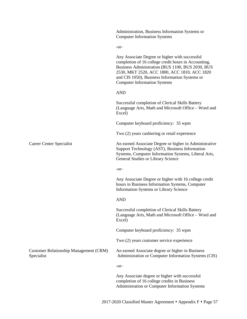|                                                             | Administration, Business Information Systems or<br><b>Computer Information Systems</b>                                                                                                                                                                                                              |
|-------------------------------------------------------------|-----------------------------------------------------------------------------------------------------------------------------------------------------------------------------------------------------------------------------------------------------------------------------------------------------|
|                                                             | -or-                                                                                                                                                                                                                                                                                                |
|                                                             | Any Associate Degree or higher with successful<br>completion of 16 college credit hours in Accounting,<br>Business Administration (BUS 1100, BUS 2030, BUS<br>2530, MKT 2520, ACC 1800, ACC 1810, ACC 1820<br>and CIS 1050), Business Information Systems or<br><b>Computer Information Systems</b> |
|                                                             | <b>AND</b>                                                                                                                                                                                                                                                                                          |
|                                                             | Successful completion of Clerical Skills Battery<br>(Language Arts, Math and Microsoft Office - Word and<br>Excel)                                                                                                                                                                                  |
|                                                             | Computer keyboard proficiency: 35 wpm                                                                                                                                                                                                                                                               |
|                                                             | Two (2) years cashiering or retail experience                                                                                                                                                                                                                                                       |
| Career Center Specialist                                    | An earned Associate Degree or higher in Administrative<br>Support Technology (AST), Business Information<br>Systems, Computer Information Systems, Liberal Arts,<br>General Studies or Library Science                                                                                              |
|                                                             | $-0r-$                                                                                                                                                                                                                                                                                              |
|                                                             | Any Associate Degree or higher with 16 college credit<br>hours in Business Information Systems, Computer<br>Information Systems or Library Science                                                                                                                                                  |
|                                                             | <b>AND</b>                                                                                                                                                                                                                                                                                          |
|                                                             | Successful completion of Clerical Skills Battery<br>(Language Arts, Math and Microsoft Office - Word and<br>Excel)                                                                                                                                                                                  |
|                                                             | Computer keyboard proficiency: 35 wpm                                                                                                                                                                                                                                                               |
|                                                             | Two (2) years customer service experience                                                                                                                                                                                                                                                           |
| <b>Customer Relationship Management (CRM)</b><br>Specialist | An earned Associate degree or higher in Business<br>Administration or Computer Information Systems (CIS)                                                                                                                                                                                            |
|                                                             | -or-                                                                                                                                                                                                                                                                                                |
|                                                             | Any Associate degree or higher with successful<br>completion of 16 college credits in Business<br>Administration or Computer Information Systems                                                                                                                                                    |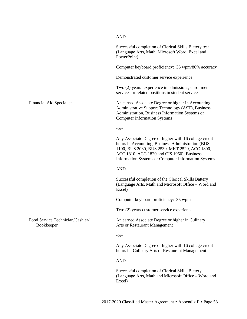|                                                | <b>AND</b>                                                                                                                                                                                                                                                       |
|------------------------------------------------|------------------------------------------------------------------------------------------------------------------------------------------------------------------------------------------------------------------------------------------------------------------|
|                                                | Successful completion of Clerical Skills Battery test<br>(Language Arts, Math, Microsoft Word, Excel and<br>PowerPoint).                                                                                                                                         |
|                                                | Computer keyboard proficiency: 35 wpm/80% accuracy                                                                                                                                                                                                               |
|                                                | Demonstrated customer service experience                                                                                                                                                                                                                         |
|                                                | Two (2) years' experience in admissions, enrollment<br>services or related positions in student services                                                                                                                                                         |
| <b>Financial Aid Specialist</b>                | An earned Associate Degree or higher in Accounting,<br>Administrative Support Technology (AST), Business<br>Administration, Business Information Systems or<br><b>Computer Information Systems</b>                                                               |
|                                                | -or-                                                                                                                                                                                                                                                             |
|                                                | Any Associate Degree or higher with 16 college credit<br>hours in Accounting, Business Administration (BUS<br>1100, BUS 2030, BUS 2530, MKT 2520, ACC 1800,<br>ACC 1810, ACC 1820 and CIS 1050), Business<br>Information Systems or Computer Information Systems |
|                                                | <b>AND</b>                                                                                                                                                                                                                                                       |
|                                                | Successful completion of the Clerical Skills Battery<br>(Language Arts, Math and Microsoft Office - Word and<br>Excel)                                                                                                                                           |
|                                                | Computer keyboard proficiency: 35 wpm                                                                                                                                                                                                                            |
|                                                | Two (2) years customer service experience                                                                                                                                                                                                                        |
| Food Service Technician/Cashier/<br>Bookkeeper | An earned Associate Degree or higher in Culinary<br>Arts or Restaurant Management                                                                                                                                                                                |
|                                                | -or-                                                                                                                                                                                                                                                             |
|                                                | Any Associate Degree or higher with 16 college credit<br>hours in Culinary Arts or Restaurant Management                                                                                                                                                         |
|                                                | <b>AND</b>                                                                                                                                                                                                                                                       |
|                                                | Successful completion of Clerical Skills Battery<br>(Language Arts, Math and Microsoft Office - Word and<br>Excel)                                                                                                                                               |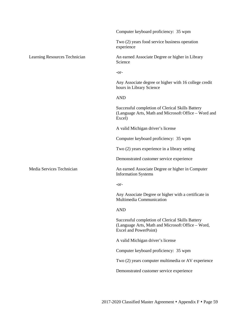|                               | Computer keyboard proficiency: 35 wpm                                                                                                 |
|-------------------------------|---------------------------------------------------------------------------------------------------------------------------------------|
|                               | Two (2) years food service business operation<br>experience                                                                           |
| Learning Resources Technician | An earned Associate Degree or higher in Library<br>Science                                                                            |
|                               | $-0r-$                                                                                                                                |
|                               | Any Associate degree or higher with 16 college credit<br>hours in Library Science                                                     |
|                               | <b>AND</b>                                                                                                                            |
|                               | Successful completion of Clerical Skills Battery<br>(Language Arts, Math and Microsoft Office - Word and<br>Excel)                    |
|                               | A valid Michigan driver's license                                                                                                     |
|                               | Computer keyboard proficiency: 35 wpm                                                                                                 |
|                               | Two (2) years experience in a library setting                                                                                         |
|                               | Demonstrated customer service experience                                                                                              |
| Media Services Technician     | An earned Associate Degree or higher in Computer<br><b>Information Systems</b>                                                        |
|                               | -or-                                                                                                                                  |
|                               | Any Associate Degree or higher with a certificate in<br>Multimedia Communication                                                      |
|                               | <b>AND</b>                                                                                                                            |
|                               | Successful completion of Clerical Skills Battery<br>(Language Arts, Math and Microsoft Office - Word,<br><b>Excel and PowerPoint)</b> |
|                               | A valid Michigan driver's license                                                                                                     |
|                               | Computer keyboard proficiency: 35 wpm                                                                                                 |
|                               | Two (2) years computer multimedia or AV experience                                                                                    |
|                               | Demonstrated customer service experience                                                                                              |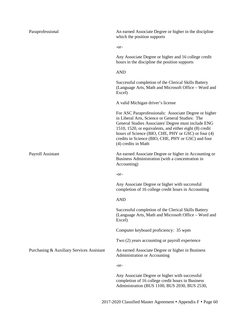| Paraprofessional                          | An earned Associate Degree or higher in the discipline<br>which the position supports                                                                                                                                                                                                                                                                           |
|-------------------------------------------|-----------------------------------------------------------------------------------------------------------------------------------------------------------------------------------------------------------------------------------------------------------------------------------------------------------------------------------------------------------------|
|                                           | -or-                                                                                                                                                                                                                                                                                                                                                            |
|                                           | Any Associate Degree or higher and 16 college credit<br>hours in the discipline the position supports                                                                                                                                                                                                                                                           |
|                                           | <b>AND</b>                                                                                                                                                                                                                                                                                                                                                      |
|                                           | Successful completion of the Clerical Skills Battery<br>(Language Arts, Math and Microsoft Office - Word and<br>Excel)                                                                                                                                                                                                                                          |
|                                           | A valid Michigan driver's license                                                                                                                                                                                                                                                                                                                               |
|                                           | For ASC Paraprofessionals: Associate Degree or higher<br>in Liberal Arts, Science or General Studies: The<br>General Studies Associates' Degree must include ENG<br>1510, 1520, or equivalents, and either eight (8) credit<br>hours of Science (BIO, CHE, PHY or GSC) or four (4)<br>credits in Science (BIO, CHE, PHY or GSC) and four<br>(4) credits in Math |
| Payroll Assistant                         | An earned Associate Degree or higher in Accounting or<br>Business Administration (with a concentration in<br>Accounting)                                                                                                                                                                                                                                        |
|                                           | -or-                                                                                                                                                                                                                                                                                                                                                            |
|                                           | Any Associate Degree or higher with successful<br>completion of 16 college credit hours in Accounting                                                                                                                                                                                                                                                           |
|                                           | <b>AND</b>                                                                                                                                                                                                                                                                                                                                                      |
|                                           | Successful completion of the Clerical Skills Battery<br>(Language Arts, Math and Microsoft Office – Word and<br>Excel)                                                                                                                                                                                                                                          |
|                                           | Computer keyboard proficiency: 35 wpm                                                                                                                                                                                                                                                                                                                           |
|                                           | Two (2) years accounting or payroll experience                                                                                                                                                                                                                                                                                                                  |
| Purchasing & Auxiliary Services Assistant | An earned Associate Degree or higher in Business<br>Administration or Accounting                                                                                                                                                                                                                                                                                |
|                                           | -or-                                                                                                                                                                                                                                                                                                                                                            |
|                                           | Any Associate Degree or higher with successful<br>completion of 16 college credit hours in Business<br>Administration (BUS 1100, BUS 2030, BUS 2530,                                                                                                                                                                                                            |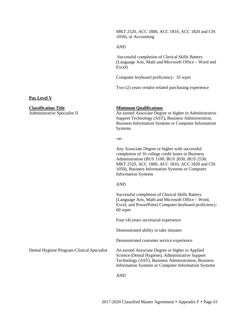MKT 2520, ACC 1800, ACC 1810, ACC 1820 and CIS 1050), or Accounting

#### AND

Successful completion of Clerical Skills Battery (Language Arts, Math and Microsoft Office – Word and Excel)

Computer keyboard proficiency: 35 wpm

Two (2) years vendor-related purchasing experience

#### **Pay Level V**

# **Classification Title**<br> **Administrative Specialist II An earned Associate Degree**

An earned Associate Degree or higher in Administrative Support Technology (AST)*,* Business Administration, Business Information Systems or Computer Information Systems

-or-

Any Associate Degree or higher with successful completion of 16 college credit hours in Business Administration (BUS 1100, BUS 2030, BUS 2530, MKT 2520, ACC 1800, ACC 1810, ACC 1820 and CIS 1050), Business Information Systems or Computer Information Systems

#### AND

Successful completion of Clerical Skills Battery (Language Arts, Math and Microsoft Office – Word, Excel, and PowerPoint) Computer keyboard proficiency: 60 wpm

Four (4) years secretarial experience

Demonstrated ability to take minutes

Demonstrated customer service experience

Dental Hygiene Program-Clinical Specialist An earned Associate Degree or higher in Applied Science (Dental Hygiene), Administrative Support Technology (AST), Business Administration, Business Information Systems or Computer Information Systems

AND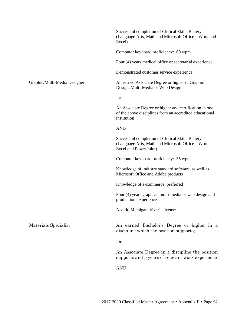|                              | Successful completion of Clerical Skills Battery<br>(Language Arts, Math and Microsoft Office - Word and<br>Excel)               |
|------------------------------|----------------------------------------------------------------------------------------------------------------------------------|
|                              | Computer keyboard proficiency: 60 wpm                                                                                            |
|                              | Four (4) years medical office or secretarial experience                                                                          |
|                              | Demonstrated customer service experience                                                                                         |
| Graphic/Multi-Media Designer | An earned Associate Degree or higher in Graphic<br>Design, Multi-Media or Web Design                                             |
|                              | -or-                                                                                                                             |
|                              | An Associate Degree or higher and certification in one<br>of the above disciplines from an accredited educational<br>institution |
|                              | <b>AND</b>                                                                                                                       |
|                              | Successful completion of Clerical Skills Battery<br>(Language Arts, Math and Microsoft Office - Word,<br>Excel and PowerPoint)   |
|                              | Computer keyboard proficiency: 35 wpm                                                                                            |
|                              | Knowledge of industry standard software, as well as<br>Microsoft Office and Adobe products                                       |
|                              | Knowledge of e-commerce, preferred                                                                                               |
|                              | Four (4) years graphics, multi-media or web design and<br>production experience                                                  |
|                              | A valid Michigan driver's license                                                                                                |
| Materials Specialist         | An earned Bachelor's Degree or higher in a<br>discipline which the position supports;                                            |
|                              | -or-                                                                                                                             |
|                              | An Associate Degree in a discipline the position<br>supports and 5 years of relevant work experience                             |
|                              | <b>AND</b>                                                                                                                       |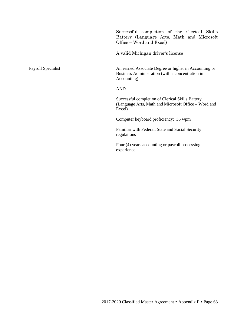Successful completion of the Clerical Skills Battery (Language Arts, Math and Microsoft Office – Word and Excel)

A valid Michigan driver's license

Payroll Specialist An earned Associate Degree or higher in Accounting or Business Administration (with a concentration in Accounting)

AND

Successful completion of Clerical Skills Battery (Language Arts, Math and Microsoft Office – Word and Excel)

Computer keyboard proficiency: 35 wpm

Familiar with Federal, State and Social Security regulations

Four (4) years accounting or payroll processing experience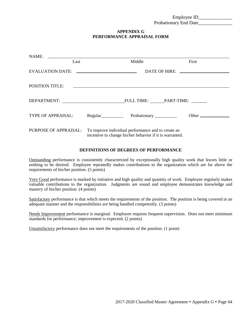Employee ID\_\_\_\_\_\_\_\_\_\_\_\_\_\_ Probationary End Date\_\_\_\_\_\_\_\_\_\_\_\_\_\_

#### **APPENDIX G PERFORMANCE APPRAISAL FORM**

| Last                  | Middle                                                                                                         | First                                                                                                                                                                                                                          |
|-----------------------|----------------------------------------------------------------------------------------------------------------|--------------------------------------------------------------------------------------------------------------------------------------------------------------------------------------------------------------------------------|
|                       |                                                                                                                | DATE OF HIRE: New York CONTROL CONTROL CONTROL CONTROL CONTROL CONTROL CONTROL CONTROL CONTROL CONTROL CONTROL CONTROL CONTROL CONTROL CONTROL CONTROL CONTROL CONTROL CONTROL CONTROL CONTROL CONTROL CONTROL CONTROL CONTROL |
|                       |                                                                                                                |                                                                                                                                                                                                                                |
|                       |                                                                                                                |                                                                                                                                                                                                                                |
| TYPE OF APPRAISAL:    |                                                                                                                | Other $\_\_$                                                                                                                                                                                                                   |
| PURPOSE OF APPRAISAL: | To improve individual performance and to create an<br>incentive to change his/her behavior if it is warranted. |                                                                                                                                                                                                                                |

#### **DEFINITIONS OF DEGREES OF PERFORMANCE**

Outstanding performance is consistently characterized by exceptionally high quality work that leaves little or nothing to be desired. Employee repeatedly makes contributions to the organization which are far above the requirements of his/her position. (5 points)

Very Good performance is marked by initiative and high quality and quantity of work. Employee regularly makes valuable contributions to the organization. Judgments are sound and employee demonstrates knowledge and mastery of his/her position. (4 points)

Satisfactory performance is that which meets the requirements of the position. The position is being covered in an adequate manner and the responsibilities are being handled competently. (3 points)

Needs Improvement performance is marginal. Employee requires frequent supervision. Does not meet minimum standards for performance; improvement is expected. (2 points)

Unsatisfactory performance does not meet the requirements of the position. (1 point)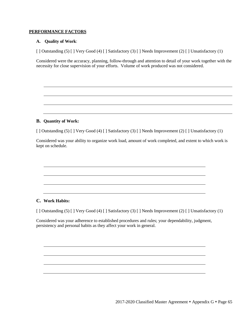#### **PERFORMANCE FACTORS**

#### **A. Quality of Work**:

[ ] Outstanding (5) [ ] Very Good (4) [ ] Satisfactory (3) [ ] Needs Improvement (2) [ ] Unsatisfactory (1)

Considered were the accuracy, planning, follow-through and attention to detail of your work together with the necessity for close supervision of your efforts. Volume of work produced was not considered.

#### **B. Quantity of Work:**

[ ] Outstanding (5) [ ] Very Good (4) [ ] Satisfactory (3) [ ] Needs Improvement (2) [ ] Unsatisfactory (1)

Considered was your ability to organize work load, amount of work completed, and extent to which work is kept on schedule.

#### **C. Work Habits:**

[ ] Outstanding (5) [ ] Very Good (4) [ ] Satisfactory (3) [ ] Needs Improvement (2) [ ] Unsatisfactory (1)

Considered was your adherence to established procedures and rules; your dependability, judgment, persistency and personal habits as they affect your work in general.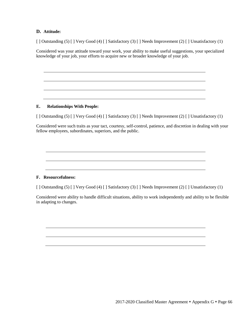#### **D. Attitude:**

[ ] Outstanding (5) [ ] Very Good (4) [ ] Satisfactory (3) [ ] Needs Improvement (2) [ ] Unsatisfactory (1)

Considered was your attitude toward your work, your ability to make useful suggestions, your specialized knowledge of your job, your efforts to acquire new or broader knowledge of your job.

#### **E. Relationships With People:**

[ ] Outstanding (5) [ ] Very Good (4) [ ] Satisfactory (3) [ ] Needs Improvement (2) [ ] Unsatisfactory (1)

Considered were such traits as your tact, courtesy, self-control, patience, and discretion in dealing with your fellow employees, subordinates, superiors, and the public.

#### **F. Resourcefulness:**

[ ] Outstanding (5) [ ] Very Good (4) [ ] Satisfactory (3) [ ] Needs Improvement (2) [ ] Unsatisfactory (1)

Considered were ability to handle difficult situations, ability to work independently and ability to be flexible in adapting to changes.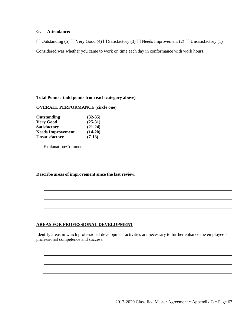### **G. Attendance:**

[ ] Outstanding (5) [ ] Very Good (4) [ ] Satisfactory (3) [ ] Needs Improvement (2) [ ] Unsatisfactory (1)

Considered was whether you came to work on time each day in conformance with work hours.

**Total Points: (add points from each category above)** 

#### **OVERALL PERFORMANCE (circle one)**

| Outstanding              | $(32-35)$ |
|--------------------------|-----------|
| <b>Very Good</b>         | $(25-31)$ |
| <b>Satisfactory</b>      | $(21-24)$ |
| <b>Needs Improvement</b> | $(14-20)$ |
| <b>Unsatisfactory</b>    | $(7-13)$  |

Explanation/Comments:

**Describe areas of improvement since the last review.**

### **AREAS FOR PROFESSIONAL DEVELOPMENT**

Identify areas in which professional development activities are necessary to further enhance the employee's professional competence and success.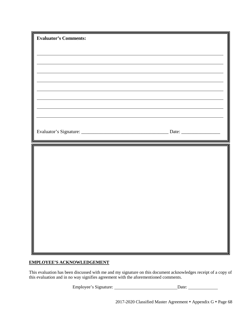| <u> 1989 - Johann Barn, fransk politik (f. 1989)</u> |  |
|------------------------------------------------------|--|
|                                                      |  |
|                                                      |  |
|                                                      |  |

# **EMPLOYEE'S ACKNOWLEDGEMENT**

This evaluation has been discussed with me and my signature on this document acknowledges receipt of a copy of this evaluation and in no way signifies agreement with the aforementioned comments.

Employee's Signature: Date: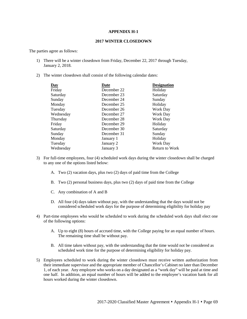#### **APPENDIX H-1**

#### **2017 WINTER CLOSEDOWN**

The parties agree as follows:

- 1) There will be a winter closedown from Friday, December 22, 2017 through Tuesday, January 2, 2018.
- 2) The winter closedown shall consist of the following calendar dates:

| Day       | Date        | <b>Designation</b>    |
|-----------|-------------|-----------------------|
| Friday    | December 22 | Holiday               |
| Saturday  | December 23 | Saturday              |
| Sunday    | December 24 | Sunday                |
| Monday    | December 25 | Holiday               |
| Tuesday   | December 26 | <b>Work Day</b>       |
| Wednesday | December 27 | Work Day              |
| Thursday  | December 28 | Work Day              |
| Friday    | December 29 | Holiday               |
| Saturday  | December 30 | Saturday              |
| Sunday    | December 31 | Sunday                |
| Monday    | January 1   | Holiday               |
| Tuesday   | January 2   | Work Day              |
| Wednesday | January 3   | <b>Return to Work</b> |
|           |             |                       |

- 3) For full-time employees, four (4) scheduled work days during the winter closedown shall be charged to any one of the options listed below:
	- A. Two (2) vacation days, plus two (2) days of paid time from the College
	- B. Two (2) personal business days, plus two (2) days of paid time from the College
	- C. Any combination of A and B
	- D. All four (4) days taken without pay, with the understanding that the days would not be considered scheduled work days for the purpose of determining eligibility for holiday pay
- 4) Part-time employees who would be scheduled to work during the scheduled work days shall elect one of the following options:
	- A. Up to eight (8) hours of accrued time, with the College paying for an equal number of hours. The remaining time shall be without pay.
	- B. All time taken without pay, with the understanding that the time would not be considered as scheduled work time for the purpose of determining eligibility for holiday pay.
- 5) Employees scheduled to work during the winter closedown must receive written authorization from their immediate supervisor and the appropriate member of Chancellor's Cabinet no later than December 1, of each year. Any employee who works on a day designated as a "work day" will be paid at time and one half. In addition, an equal number of hours will be added to the employee's vacation bank for all hours worked during the winter closedown.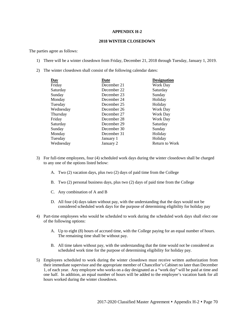#### **APPENDIX H-2**

#### **2018 WINTER CLOSEDOWN**

The parties agree as follows:

- 1) There will be a winter closedown from Friday, December 21, 2018 through Tuesday, January 1, 2019.
- 2) The winter closedown shall consist of the following calendar dates:

| Day       | Date        | <b>Designation</b>    |
|-----------|-------------|-----------------------|
| Friday    | December 21 | Work Day              |
| Saturday  | December 22 | Saturday              |
| Sunday    | December 23 | Sunday                |
| Monday    | December 24 | Holiday               |
| Tuesday   | December 25 | Holiday               |
| Wednesday | December 26 | Work Day              |
| Thursday  | December 27 | Work Day              |
| Friday    | December 28 | <b>Work Day</b>       |
| Saturday  | December 29 | Saturday              |
| Sunday    | December 30 | Sunday                |
| Monday    | December 31 | Holiday               |
| Tuesday   | January 1   | Holiday               |
| Wednesday | January 2   | <b>Return to Work</b> |
|           |             |                       |

- 3) For full-time employees, four (4) scheduled work days during the winter closedown shall be charged to any one of the options listed below:
	- A. Two (2) vacation days, plus two (2) days of paid time from the College
	- B. Two (2) personal business days, plus two (2) days of paid time from the College
	- C. Any combination of A and B
	- D. All four (4) days taken without pay, with the understanding that the days would not be considered scheduled work days for the purpose of determining eligibility for holiday pay
- 4) Part-time employees who would be scheduled to work during the scheduled work days shall elect one of the following options:
	- A. Up to eight (8) hours of accrued time, with the College paying for an equal number of hours. The remaining time shall be without pay.
	- B. All time taken without pay, with the understanding that the time would not be considered as scheduled work time for the purpose of determining eligibility for holiday pay.
- 5) Employees scheduled to work during the winter closedown must receive written authorization from their immediate supervisor and the appropriate member of Chancellor's Cabinet no later than December 1, of each year. Any employee who works on a day designated as a "work day" will be paid at time and one half. In addition, an equal number of hours will be added to the employee's vacation bank for all hours worked during the winter closedown.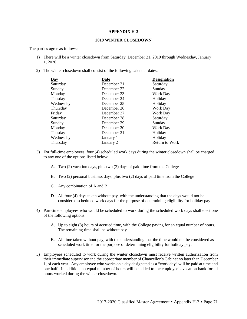#### **APPENDIX H-3**

#### **2019 WINTER CLOSEDOWN**

The parties agree as follows:

- 1) There will be a winter closedown from Saturday, December 21, 2019 through Wednesday, January 1, 2020.
- 2) The winter closedown shall consist of the following calendar dates:

| Day       | Date        | <b>Designation</b>    |
|-----------|-------------|-----------------------|
| Saturday  | December 21 | Saturday              |
| Sunday    | December 22 | Sunday                |
| Monday    | December 23 | Work Day              |
| Tuesday   | December 24 | Holiday               |
| Wednesday | December 25 | Holiday               |
| Thursday  | December 26 | Work Day              |
| Friday    | December 27 | Work Day              |
| Saturday  | December 28 | Saturday              |
| Sunday    | December 29 | Sunday                |
| Monday    | December 30 | Work Day              |
| Tuesday   | December 31 | Holiday               |
| Wednesday | January 1   | Holiday               |
| Thursday  | January 2   | <b>Return to Work</b> |
|           |             |                       |

- 3) For full-time employees, four (4) scheduled work days during the winter closedown shall be charged to any one of the options listed below:
	- A. Two (2) vacation days, plus two (2) days of paid time from the College
	- B. Two (2) personal business days, plus two (2) days of paid time from the College
	- C. Any combination of A and B
	- D. All four (4) days taken without pay, with the understanding that the days would not be considered scheduled work days for the purpose of determining eligibility for holiday pay
- 4) Part-time employees who would be scheduled to work during the scheduled work days shall elect one of the following options:
	- A. Up to eight (8) hours of accrued time, with the College paying for an equal number of hours. The remaining time shall be without pay.
	- B. All time taken without pay, with the understanding that the time would not be considered as scheduled work time for the purpose of determining eligibility for holiday pay.
- 5) Employees scheduled to work during the winter closedown must receive written authorization from their immediate supervisor and the appropriate member of Chancellor's Cabinet no later than December 1, of each year. Any employee who works on a day designated as a "work day" will be paid at time and one half. In addition, an equal number of hours will be added to the employee's vacation bank for all hours worked during the winter closedown.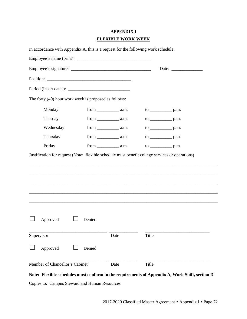# **APPENDIX I FLEXIBLE WORK WEEK**

| In accordance with Appendix A, this is a request for the following work schedule: |        |                                                          |       |  |  |
|-----------------------------------------------------------------------------------|--------|----------------------------------------------------------|-------|--|--|
|                                                                                   |        |                                                          |       |  |  |
|                                                                                   |        | Date: $\frac{1}{\sqrt{1-\frac{1}{2}} \cdot \frac{1}{2}}$ |       |  |  |
|                                                                                   |        |                                                          |       |  |  |
|                                                                                   |        |                                                          |       |  |  |
| The forty (40) hour work week is proposed as follows:                             |        |                                                          |       |  |  |
| Monday                                                                            |        |                                                          |       |  |  |
| Tuesday                                                                           |        |                                                          |       |  |  |
| Wednesday                                                                         |        |                                                          |       |  |  |
| Thursday                                                                          |        |                                                          |       |  |  |
| Friday                                                                            |        | $from$ $a.m.$                                            |       |  |  |
|                                                                                   |        |                                                          |       |  |  |
| Approved                                                                          | Denied |                                                          |       |  |  |
| Supervisor                                                                        |        | Date                                                     | Title |  |  |
| Approved                                                                          | Denied |                                                          |       |  |  |
| Member of Chancellor's Cabinet                                                    |        | Date                                                     | Title |  |  |

### **Note: Flexible schedules must conform to the requirements of Appendix A, Work Shift, section D**

Copies to: Campus Steward and Human Resources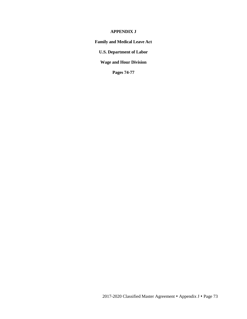### **APPENDIX J**

**Family and Medical Leave Act**

**U.S. Department of Labor**

**Wage and Hour Division**

**Pages 74-77**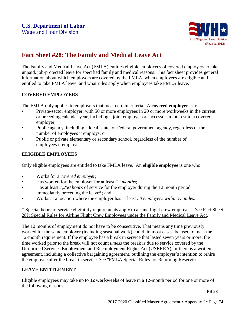

# **Fact Sheet #28: The Family and Medical Leave Act**

The Family and Medical Leave Act (FMLA) entitles eligible employees of covered employers to take unpaid, job-protected leave for specified family and medical reasons. This fact sheet provides general information about which employers are covered by the FMLA, when employees are eligible and entitled to take FMLA leave, and what rules apply when employees take FMLA leave.

## **COVERED EMPLOYERS**

The FMLA only applies to employers that meet certain criteria. A **covered employer** is a:

- Private-sector employer, with 50 or more employees in 20 or more workweeks in the current or preceding calendar year, including a joint employer or successor in interest to a covered employer;
- Public agency, including a local, state, or Federal government agency, regardless of the number of employees it employs; or
- Public or private elementary or secondary school, regardless of the number of employees it employs.

# **ELIGIBLE EMPLOYEES**

Only eligible employees are entitled to take FMLA leave. An **eligible employee** is one who:

- Works for a *covered employer*;
- Has worked for the employer for at least *12 months*;
- Has at least *1,250 hours* of service for the employer during the 12 month period immediately preceding the leave\*; and
- Works at a location where the employer has at least *50 employees within 75 miles*.

\* Special hours of service eligibility requirements apply to airline flight crew employees. *See* Fact [Sheet](http://www.dol.gov/whd/regs/compliance/whdfs28j.htm) 28J: Special Rules for Airline Flight Crew [Employees under](http://www.dol.gov/whd/regs/compliance/whdfs28j.htm) the Family and Medical Leave Act.

The 12 months of employment do not have to be consecutive. That means any time previously worked for the same employer (including seasonal work) could, in most cases, be used to meet the 12-month requirement. If the employee has a break in service that lasted seven years or more, the time worked prior to the break will not count *unless* the break is due to service covered by the Uniformed Services Employment and Reemployment Rights Act (USERRA), or there is a written agreement, including a collective bargaining agreement, outlining the employer's intention to rehire the employee after the break in service. *See* ["FMLA Special Rules for](http://www.dol.gov/whd/fmla/userra.htm) Returning Reservists".

# **LEAVE ENTITLEMENT**

Eligible employees may take up to **12 workweeks** of leave in a 12-month period for one or more of the following reasons: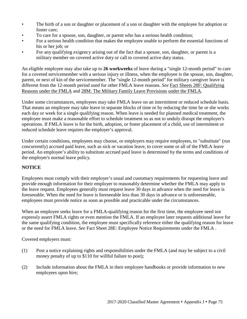- The birth of a son or daughter or placement of a son or daughter with the employee for adoption or foster care;
- To care for a spouse, son, daughter, or parent who has a serious health condition;
- For a serious health condition that makes the employee unable to perform the essential functions of his or her job; or
- For any qualifying exigency arising out of the fact that a spouse, son, daughter, or parent is a military member on covered active duty or call to covered active duty status.

An eligible employee may also take up to **26 workweeks** of leave during a "single 12-month period" to care for a covered servicemember with a serious injury or illness, when the employee is the spouse, son, daughter, parent, or next of kin of the servicemember. The "single 12-month period" for military caregiver leave is different from the 12-month period used for other FMLA leave reasons. *See* [Fact](http://www.dol.gov/whd/regs/compliance/whdfs28f.htm) [Sheets 28F: Qualifying](http://www.dol.gov/whd/regs/compliance/whdfs28f.htm) [Reasons under](http://www.dol.gov/whd/regs/compliance/whdfs28f.htm) the FMLA and 28M: The Military Family Leave [Provisions](http://www.dol.gov/whd/regs/compliance/whdfs28m.htm) under the [FMLA.](http://www.dol.gov/whd/regs/compliance/whdfs28m.htm)

Under some circumstances, employees may take FMLA leave on an intermittent or reduced schedule basis. That means an employee may take leave in separate blocks of time or by reducing the time he or she works each day or week for a single qualifying reason. When leave is needed for planned medical treatment, the employee must make a reasonable effort to schedule treatment so as not to unduly disrupt the employer's operations. If FMLA leave is for the birth, adoption, or foster placement of a child, use of intermittent or reduced schedule leave requires the employer's approval.

Under certain conditions, employees may choose, or employers may require employees, to "substitute" (run concurrently) accrued paid leave, such as sick or vacation leave, to cover some or all of the FMLA leave period. An employee's ability to substitute accrued paid leave is determined by the terms and conditions of the employer's normal leave policy.

# **NOTICE**

Employees must comply with their employer's usual and customary requirements for requesting leave and provide enough information for their employer to reasonably determine whether the FMLA may apply to the leave request. Employees generally must request leave 30 days in advance when the need for leave is foreseeable. When the need for leave is foreseeable less than 30 days in advance or is unforeseeable, employees must provide notice as soon as possible and practicable under the circumstances.

When an employee seeks leave for a FMLA-qualifying reason for the first time, the employee need not expressly assert FMLA rights or even mention the FMLA. If an employee later requests additional leave for the same qualifying condition, the employee must specifically reference either the qualifying reason for leave or the need for FMLA leave. *See* [Fact Sheet 28E: Employee](http://www.dol.gov/whd/regs/compliance/whdfs28e.htm) Notice Requirements under the [FMLA](http://www.dol.gov/whd/regs/compliance/whdfs28e.htm) .

Covered employers must:

- (1) Post a notice explaining rights and responsibilities under the FMLA (and may be subject to a civil money penalty of up to \$110 for willful failure to post);
- (2) Include information about the FMLA in their employee handbooks or provide information to new employees upon hire;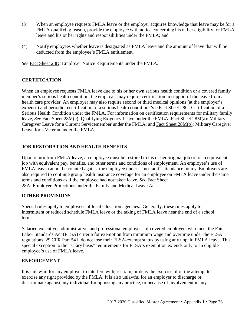- (3) When an employee requests FMLA leave or the employer acquires knowledge that leave may be for a FMLA-qualifying reason, provide the employee with notice concerning his or her eligibility for FMLA leave and his or her rights and responsibilities under the FMLA; and
- (4) Notify employees whether leave is designated as FMLA leave and the amount of leave that will be deducted from the employee's FMLA entitlement.

*See* Fact Sheet 28D: Employer Notice [Requirements under](http://www.dol.gov/whd/regs/compliance/whdfs28d.htm) the FMLA.

# **CERTIFICATION**

When an employee requests FMLA leave due to his or her own serious health condition or a covered family member's serious health condition, the employer may require certification in support of the leave from a health care provider. An employer may also require second or third medical opinions (at the employer's expense) and periodic recertification of a serious health condition. *See* Fact [Sheet](http://www.dol.gov/whd/regs/compliance/whdfs28g.htm) 28G: Certification of a Serious Health Condition under the FMLA. For information on certification requirements for military family leave, *See* Fact Sheet [28M\(c\):](http://www.dol.gov/whd/regs/compliance/whdfs28mc.htm) Qualifying Exigency Leave under the FMLA; Fact Sheet [28M\(a\):](http://www.dol.gov/whd/regs/compliance/whdfs28ma.htm) Military Caregiver Leave for a Current Servicemember under the FMLA; and [Fact Sheet 28M\(b\):](http://www.dol.gov/whd/regs/compliance/whdfs28mb.htm) Military Caregiver Leave for a Veteran under the FMLA.

# **JOB RESTORATION AND HEALTH BENEFITS**

Upon return from FMLA leave, an employee must be restored to his or her original job or to an equivalent job with equivalent pay, benefits, and other terms and conditions of employment. An employee's use of FMLA leave cannot be counted against the employee under a "no-fault" attendance policy. Employers are also required to continue group health insurance coverage for an employee on FMLA leave under the same terms and conditions as if the employee had not taken leave. *See* Fact [Sheet](http://www.dol.gov/whd/regs/compliance/whdfs28a.htm) [28A: Employee](http://www.dol.gov/whd/regs/compliance/whdfs28a.htm) Protections under the Family and Medical Leave Act .

## **OTHER PROVISIONS**

Special rules apply to employees of local education agencies. Generally, these rules apply to intermittent or reduced schedule FMLA leave or the taking of FMLA leave near the end of a school term.

Salaried executive, administrative, and professional employees of covered employers who meet the Fair Labor Standards Act (FLSA) criteria for exemption from minimum wage and overtime under the FLSA regulations, 29 CFR Part 541, do not lose their FLSA-exempt status by using any unpaid FMLA leave. This special exception to the "salary basis" requirements for FLSA's exemption extends only to an eligible employee's use of FMLA leave.

## **ENFORCEMENT**

It is unlawful for any employer to interfere with, restrain, or deny the exercise of or the attempt to exercise any right provided by the FMLA. It is also unlawful for an employer to discharge or discriminate against any individual for opposing any practice, or because of involvement in any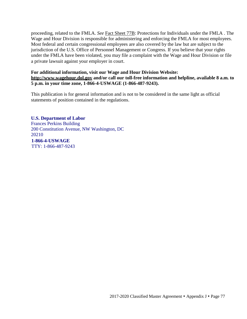proceeding, related to the FMLA. *See* Fact Sheet [77B: Protections for](http://www.dol.gov/whd/regs/compliance/whdfs77b.htm) Individuals under the FMLA . The Wage and Hour Division is responsible for administering and enforcing the FMLA for most employees. Most federal and certain congressional employees are also covered by the law but are subject to the jurisdiction of the U.S. Office of Personnel Management or Congress. If you believe that your rights under the FMLA have been violated, you may file a complaint with the Wage and Hour Division or file a private lawsuit against your employer in court.

### **For additional information, visit our Wage and Hour Division Website: [http://www.wagehour.dol.gov](http://www.wagehour.dol.gov/) and/or call our toll-free information and helpline, available 8 a.m. to 5 p.m. in your time zone, 1-866-4-USWAGE (1-866-487-9243).**

This publication is for general information and is not to be considered in the same light as official statements of position contained in the regulations.

### **U.S. Department of Labor**

Frances Perkins Building 200 Constitution Avenue, NW Washington, DC 20210  **1-866-4-USWAGE** TTY: 1-866-487-9243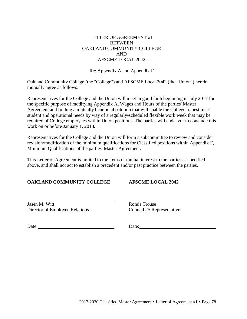### LETTER OF AGREEMENT #1 **BETWEEN** OAKLAND COMMUNITY COLLEGE AND AFSCME LOCAL 2042

Re: Appendix A and Appendix F

Oakland Community College (the "College") and AFSCME Local 2042 (the "Union") herein mutually agree as follows:

Representatives for the College and the Union will meet in good faith beginning in July 2017 for the specific purpose of modifying Appendix A, Wages and Hours of the parties' Master Agreement and finding a mutually beneficial solution that will enable the College to best meet student and operational needs by way of a regularly-scheduled flexible work week that may be required of College employees within Union positions. The parties will endeavor to conclude this work on or before January 1, 2018.

Representatives for the College and the Union will form a subcommittee to review and consider revision/modification of the minimum qualifications for Classified positions within Appendix F, Minimum Qualifications of the parties' Master Agreement.

This Letter of Agreement is limited to the items of mutual interest to the parties as specified above, and shall not act to establish a precedent and/or past practice between the parties.

## **OAKLAND COMMUNITY COLLEGE AFSCME LOCAL 2042**

Jasen M. Witt **Ronda Trouse** Director of Employee Relations Council 25 Representative

Date: Date: Date: Date: Date: Date: Date: Date: Date: Date: Date: Date: Date: Date: Date: Date: Date: Date: Date: Date: Date: Date: Date: Date: Date: Date: Date: Date: Date: Date: Date: Date: Date: Date: Date: Date: Date: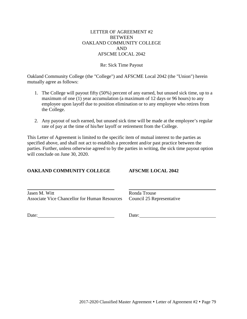### LETTER OF AGREEMENT #2 **BETWEEN** OAKLAND COMMUNITY COLLEGE AND AFSCME LOCAL 2042

### Re: Sick Time Payout

Oakland Community College (the "College") and AFSCME Local 2042 (the "Union") herein mutually agree as follows:

- 1. The College will payout fifty (50%) percent of any earned, but unused sick time, up to a maximum of one (1) year accumulation (a maximum of 12 days or 96 hours) to any employee upon layoff due to position elimination or to any employee who retires from the College.
- 2. Any payout of such earned, but unused sick time will be made at the employee's regular rate of pay at the time of his/her layoff or retirement from the College.

This Letter of Agreement is limited to the specific item of mutual interest to the parties as specified above, and shall not act to establish a precedent and/or past practice between the parties. Further, unless otherwise agreed to by the parties in writing, the sick time payout option will conclude on June 30, 2020.

### **OAKLAND COMMUNITY COLLEGE AFSCME LOCAL 2042**

Jasen M. Witt Ronda Trouse Associate Vice Chancellor for Human Resources Council 25 Representative

Date: Date: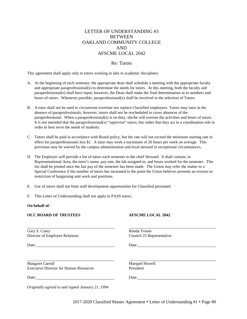### LETTER OF UNDERSTANDING #3 BETWEEN OAKLAND COMMUNITY COLLEGE AND AFSCME LOCAL 2042

### Re: Tutors

This agreement shall apply only to tutors working in labs in academic disciplines.

- A. At the beginning of each semester, the appropriate dean shall schedule a meeting with the appropriate faculty and appropriate paraprofessional(s) to determine the needs for tutors. At this meeting, both the faculty and paraprofessional(s) shall have input; however, the Dean shall make the final determination as to numbers and hours of tutors. Whenever possible, paraprofessional(s) shall be involved in the selection of Tutors.
- B. A tutor shall not be used to circumvent overtime nor replace Classified employees. Tutors may tutor in the absence of paraprofessionals; however, tutors shall not be rescheduled to cover absences of the paraprofessional. When a paraprofessional(s) is on duty, she/he will oversee the activities and hours of tutors. It is not intended that the paraprofessional(s) "supervise" tutors, but rather that they act in a coordination role in order to best serve the needs of students.
- C. Tutors shall be paid in accordance with Board policy, but the rate will not exceed the minimum starting rate in effect for paraprofessionals less \$1. A tutor may work a maximum of 20 hours per week on average. This provision may be waived by the campus administration and local steward in exceptional circumstances.
- D. The Employer will provide a list of tutors each semester to the chief Steward. It shall contain, in Representational Area, the tutor's name, pay rate, the lab assigned to, and hours worked for the semester. This list shall be printed once the last pay of the semester has been made. The Union may refer the matter to a Special Conference if the number of tutors has increased to the point the Union believes presents an erosion or restriction of bargaining unit work and positions.
- E. Use of tutors shall not limit staff development opportunities for Classified personnel.
- F. This Letter of Understanding shall not apply to PASS tutors.

#### **On behalf of:**

#### **OCC BOARD OF TRUSTEES AFSCME LOCAL 2042**

Gary S. Casey Ronda Trouse Director of Employee Relations Council 25 Representative

Date: Date: Date: Date:

Margaret Carroll Margaret Carroll Marguel Howell Executive Director for Human Resources President

Date: Date: Date:

*Originally agreed to and signed January 21, 1994*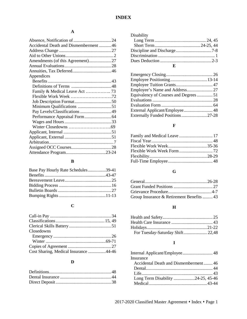# **A**

| Accidental Death and Dismemberment 46 |  |
|---------------------------------------|--|
|                                       |  |
|                                       |  |
|                                       |  |
|                                       |  |
|                                       |  |
| Appendices                            |  |
|                                       |  |
|                                       |  |
| Family & Medical Leave Act  73        |  |
|                                       |  |
|                                       |  |
|                                       |  |
| Pay Levels/Classifications  49        |  |
|                                       |  |
|                                       |  |
|                                       |  |
|                                       |  |
|                                       |  |
|                                       |  |
|                                       |  |
|                                       |  |

# **B**

| Base Pay Hourly Rate Schedules39-41 |  |
|-------------------------------------|--|
|                                     |  |
|                                     |  |
|                                     |  |
|                                     |  |
|                                     |  |

# **C**

| Closedowns                            |  |
|---------------------------------------|--|
|                                       |  |
|                                       |  |
|                                       |  |
| Cost Sharing, Medical Insurance 44-46 |  |

# **D**

| Disability |  |
|------------|--|
|            |  |
|            |  |
|            |  |
|            |  |
|            |  |
|            |  |

| Equivalency of Courses and Degrees51 |  |
|--------------------------------------|--|
|                                      |  |
|                                      |  |
|                                      |  |
|                                      |  |
|                                      |  |

# **F**

# **G**

| Group Insurance & Retirement Benefits  43 |  |
|-------------------------------------------|--|

# **H**

# **I**

| Insurance                             |  |
|---------------------------------------|--|
| Accidental Death and Dismemberment 46 |  |
|                                       |  |
|                                       |  |
| Long Term Disability 24-25, 45-46     |  |
|                                       |  |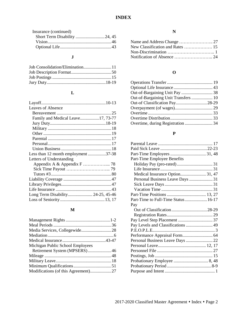# **INDEX**

| Insurance (continued) |  |
|-----------------------|--|
|                       |  |
|                       |  |
|                       |  |

# **J**

# **L**

| Leaves of Absence                   |  |
|-------------------------------------|--|
|                                     |  |
| Family and Medical Leave17, 73-77   |  |
|                                     |  |
|                                     |  |
|                                     |  |
|                                     |  |
|                                     |  |
|                                     |  |
| Less than 12 month employment 37-38 |  |
| Letters of Understanding            |  |
|                                     |  |
|                                     |  |
|                                     |  |
|                                     |  |
|                                     |  |
|                                     |  |
| Long Term Disability 24-25, 45-46   |  |
|                                     |  |

# **M**

| Michigan Public School Employees    |  |
|-------------------------------------|--|
| Retirement System (MPSERS)46        |  |
|                                     |  |
|                                     |  |
|                                     |  |
| Modifications (of this Agreement)27 |  |

# **N**

# **O**

| Out-of-Bargaining Unit Transfers  10 |  |
|--------------------------------------|--|
| Out-of Classification Pay28-29       |  |
|                                      |  |
|                                      |  |
|                                      |  |
|                                      |  |
|                                      |  |

# **P**

| Part-Time Employee Benefits         |  |
|-------------------------------------|--|
|                                     |  |
|                                     |  |
| Medical Insurance Option 31, 47     |  |
| Personal Business Leave Days  31    |  |
|                                     |  |
|                                     |  |
|                                     |  |
| Part-Time to Full-Time Status 16-17 |  |
| Pay                                 |  |
|                                     |  |
|                                     |  |
| Pay Level Step Placement  37        |  |
| Pay Levels and Classifications  49  |  |
|                                     |  |
|                                     |  |
| Personal Business Leave Days  22    |  |
|                                     |  |
|                                     |  |
|                                     |  |
|                                     |  |
|                                     |  |
|                                     |  |
|                                     |  |